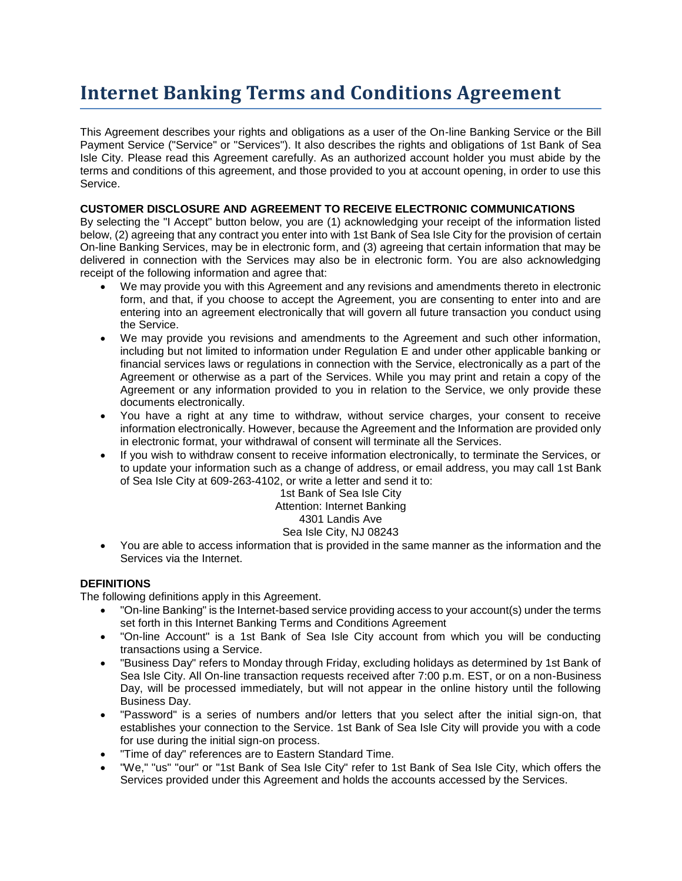# **Internet Banking Terms and Conditions Agreement**

This Agreement describes your rights and obligations as a user of the On-line Banking Service or the Bill Payment Service ("Service" or "Services"). It also describes the rights and obligations of 1st Bank of Sea Isle City. Please read this Agreement carefully. As an authorized account holder you must abide by the terms and conditions of this agreement, and those provided to you at account opening, in order to use this Service.

# **CUSTOMER DISCLOSURE AND AGREEMENT TO RECEIVE ELECTRONIC COMMUNICATIONS**

By selecting the "I Accept" button below, you are (1) acknowledging your receipt of the information listed below, (2) agreeing that any contract you enter into with 1st Bank of Sea Isle City for the provision of certain On-line Banking Services, may be in electronic form, and (3) agreeing that certain information that may be delivered in connection with the Services may also be in electronic form. You are also acknowledging receipt of the following information and agree that:

- We may provide you with this Agreement and any revisions and amendments thereto in electronic form, and that, if you choose to accept the Agreement, you are consenting to enter into and are entering into an agreement electronically that will govern all future transaction you conduct using the Service.
- We may provide you revisions and amendments to the Agreement and such other information, including but not limited to information under Regulation E and under other applicable banking or financial services laws or regulations in connection with the Service, electronically as a part of the Agreement or otherwise as a part of the Services. While you may print and retain a copy of the Agreement or any information provided to you in relation to the Service, we only provide these documents electronically.
- You have a right at any time to withdraw, without service charges, your consent to receive information electronically. However, because the Agreement and the Information are provided only in electronic format, your withdrawal of consent will terminate all the Services.
- If you wish to withdraw consent to receive information electronically, to terminate the Services, or to update your information such as a change of address, or email address, you may call 1st Bank of Sea Isle City at 609-263-4102, or write a letter and send it to:

1st Bank of Sea Isle City Attention: Internet Banking

# 4301 Landis Ave

# Sea Isle City, NJ 08243

 You are able to access information that is provided in the same manner as the information and the Services via the Internet.

# **DEFINITIONS**

The following definitions apply in this Agreement.

- "On-line Banking" is the Internet-based service providing access to your account(s) under the terms set forth in this Internet Banking Terms and Conditions Agreement
- "On-line Account" is a 1st Bank of Sea Isle City account from which you will be conducting transactions using a Service.
- "Business Day" refers to Monday through Friday, excluding holidays as determined by 1st Bank of Sea Isle City. All On-line transaction requests received after 7:00 p.m. EST, or on a non-Business Day, will be processed immediately, but will not appear in the online history until the following Business Day.
- "Password" is a series of numbers and/or letters that you select after the initial sign-on, that establishes your connection to the Service. 1st Bank of Sea Isle City will provide you with a code for use during the initial sign-on process.
- "Time of day" references are to Eastern Standard Time.
- "We," "us" "our" or "1st Bank of Sea Isle City" refer to 1st Bank of Sea Isle City, which offers the Services provided under this Agreement and holds the accounts accessed by the Services.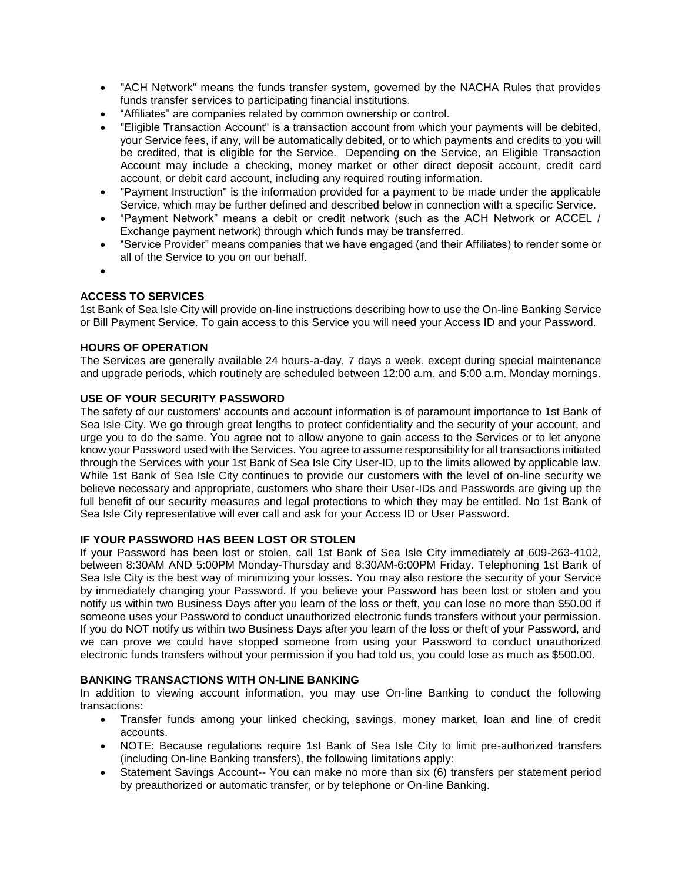- "ACH Network" means the funds transfer system, governed by the NACHA Rules that provides funds transfer services to participating financial institutions.
- "Affiliates" are companies related by common ownership or control.
- "Eligible Transaction Account" is a transaction account from which your payments will be debited, your Service fees, if any, will be automatically debited, or to which payments and credits to you will be credited, that is eligible for the Service. Depending on the Service, an Eligible Transaction Account may include a checking, money market or other direct deposit account, credit card account, or debit card account, including any required routing information.
- "Payment Instruction" is the information provided for a payment to be made under the applicable Service, which may be further defined and described below in connection with a specific Service.
- "Payment Network" means a debit or credit network (such as the ACH Network or ACCEL / Exchange payment network) through which funds may be transferred.
- "Service Provider" means companies that we have engaged (and their Affiliates) to render some or all of the Service to you on our behalf.
- $\bullet$

# **ACCESS TO SERVICES**

1st Bank of Sea Isle City will provide on-line instructions describing how to use the On-line Banking Service or Bill Payment Service. To gain access to this Service you will need your Access ID and your Password.

# **HOURS OF OPERATION**

The Services are generally available 24 hours-a-day, 7 days a week, except during special maintenance and upgrade periods, which routinely are scheduled between 12:00 a.m. and 5:00 a.m. Monday mornings.

# **USE OF YOUR SECURITY PASSWORD**

The safety of our customers' accounts and account information is of paramount importance to 1st Bank of Sea Isle City. We go through great lengths to protect confidentiality and the security of your account, and urge you to do the same. You agree not to allow anyone to gain access to the Services or to let anyone know your Password used with the Services. You agree to assume responsibility for all transactions initiated through the Services with your 1st Bank of Sea Isle City User-ID, up to the limits allowed by applicable law. While 1st Bank of Sea Isle City continues to provide our customers with the level of on-line security we believe necessary and appropriate, customers who share their User-IDs and Passwords are giving up the full benefit of our security measures and legal protections to which they may be entitled. No 1st Bank of Sea Isle City representative will ever call and ask for your Access ID or User Password.

## **IF YOUR PASSWORD HAS BEEN LOST OR STOLEN**

If your Password has been lost or stolen, call 1st Bank of Sea Isle City immediately at 609-263-4102, between 8:30AM AND 5:00PM Monday-Thursday and 8:30AM-6:00PM Friday. Telephoning 1st Bank of Sea Isle City is the best way of minimizing your losses. You may also restore the security of your Service by immediately changing your Password. If you believe your Password has been lost or stolen and you notify us within two Business Days after you learn of the loss or theft, you can lose no more than \$50.00 if someone uses your Password to conduct unauthorized electronic funds transfers without your permission. If you do NOT notify us within two Business Days after you learn of the loss or theft of your Password, and we can prove we could have stopped someone from using your Password to conduct unauthorized electronic funds transfers without your permission if you had told us, you could lose as much as \$500.00.

#### **BANKING TRANSACTIONS WITH ON-LINE BANKING**

In addition to viewing account information, you may use On-line Banking to conduct the following transactions:

- Transfer funds among your linked checking, savings, money market, loan and line of credit accounts.
- NOTE: Because regulations require 1st Bank of Sea Isle City to limit pre-authorized transfers (including On-line Banking transfers), the following limitations apply:
- Statement Savings Account-- You can make no more than six (6) transfers per statement period by preauthorized or automatic transfer, or by telephone or On-line Banking.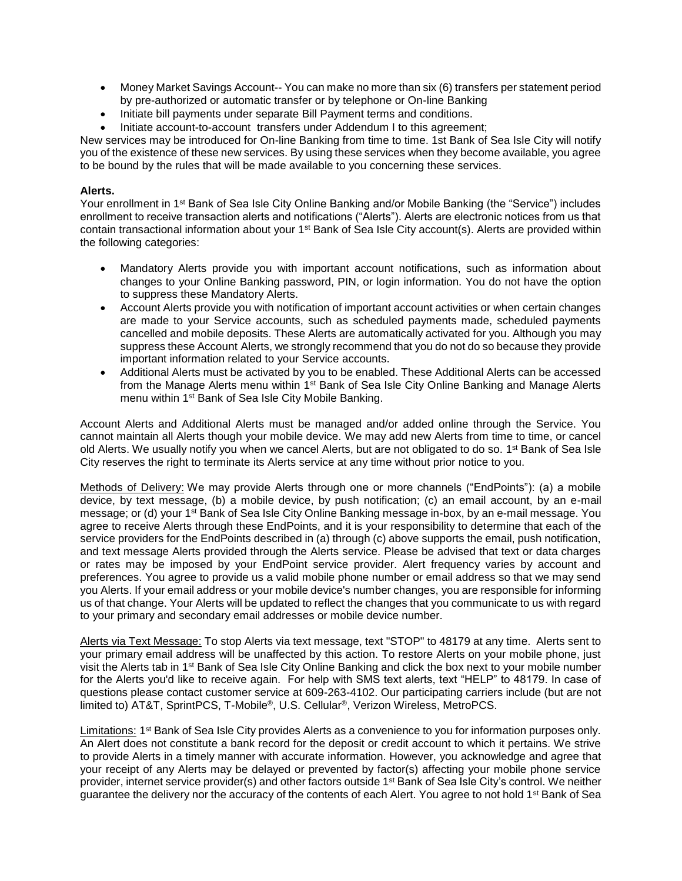- Money Market Savings Account-- You can make no more than six (6) transfers per statement period by pre-authorized or automatic transfer or by telephone or On-line Banking
- Initiate bill payments under separate Bill Payment terms and conditions.
- Initiate account-to-account transfers under Addendum I to this agreement;

New services may be introduced for On-line Banking from time to time. 1st Bank of Sea Isle City will notify you of the existence of these new services. By using these services when they become available, you agree to be bound by the rules that will be made available to you concerning these services.

## **Alerts.**

Your enrollment in 1<sup>st</sup> Bank of Sea Isle City Online Banking and/or Mobile Banking (the "Service") includes enrollment to receive transaction alerts and notifications ("Alerts"). Alerts are electronic notices from us that contain transactional information about your 1<sup>st</sup> Bank of Sea Isle City account(s). Alerts are provided within the following categories:

- Mandatory Alerts provide you with important account notifications, such as information about changes to your Online Banking password, PIN, or login information. You do not have the option to suppress these Mandatory Alerts.
- Account Alerts provide you with notification of important account activities or when certain changes are made to your Service accounts, such as scheduled payments made, scheduled payments cancelled and mobile deposits. These Alerts are automatically activated for you. Although you may suppress these Account Alerts, we strongly recommend that you do not do so because they provide important information related to your Service accounts.
- Additional Alerts must be activated by you to be enabled. These Additional Alerts can be accessed from the Manage Alerts menu within 1<sup>st</sup> Bank of Sea Isle City Online Banking and Manage Alerts menu within 1st Bank of Sea Isle City Mobile Banking.

Account Alerts and Additional Alerts must be managed and/or added online through the Service. You cannot maintain all Alerts though your mobile device. We may add new Alerts from time to time, or cancel old Alerts. We usually notify you when we cancel Alerts, but are not obligated to do so. 1<sup>st</sup> Bank of Sea Isle City reserves the right to terminate its Alerts service at any time without prior notice to you.

Methods of Delivery: We may provide Alerts through one or more channels ("EndPoints"): (a) a mobile device, by text message, (b) a mobile device, by push notification; (c) an email account, by an e-mail message; or (d) your 1<sup>st</sup> Bank of Sea Isle City Online Banking message in-box, by an e-mail message. You agree to receive Alerts through these EndPoints, and it is your responsibility to determine that each of the service providers for the EndPoints described in (a) through (c) above supports the email, push notification, and text message Alerts provided through the Alerts service. Please be advised that text or data charges or rates may be imposed by your EndPoint service provider. Alert frequency varies by account and preferences. You agree to provide us a valid mobile phone number or email address so that we may send you Alerts. If your email address or your mobile device's number changes, you are responsible for informing us of that change. Your Alerts will be updated to reflect the changes that you communicate to us with regard to your primary and secondary email addresses or mobile device number.

Alerts via Text Message: To stop Alerts via text message, text "STOP" to 48179 at any time. Alerts sent to your primary email address will be unaffected by this action. To restore Alerts on your mobile phone, just visit the Alerts tab in 1st Bank of Sea Isle City Online Banking and click the box next to your mobile number for the Alerts you'd like to receive again. For help with SMS text alerts, text "HELP" to 48179. In case of questions please contact customer service at 609-263-4102. Our participating carriers include (but are not limited to) AT&T, SprintPCS, T-Mobile®, U.S. Cellular®, Verizon Wireless, MetroPCS.

Limitations: 1<sup>st</sup> Bank of Sea Isle City provides Alerts as a convenience to you for information purposes only. An Alert does not constitute a bank record for the deposit or credit account to which it pertains. We strive to provide Alerts in a timely manner with accurate information. However, you acknowledge and agree that your receipt of any Alerts may be delayed or prevented by factor(s) affecting your mobile phone service provider, internet service provider(s) and other factors outside 1<sup>st</sup> Bank of Sea Isle City's control. We neither guarantee the delivery nor the accuracy of the contents of each Alert. You agree to not hold 1<sup>st</sup> Bank of Sea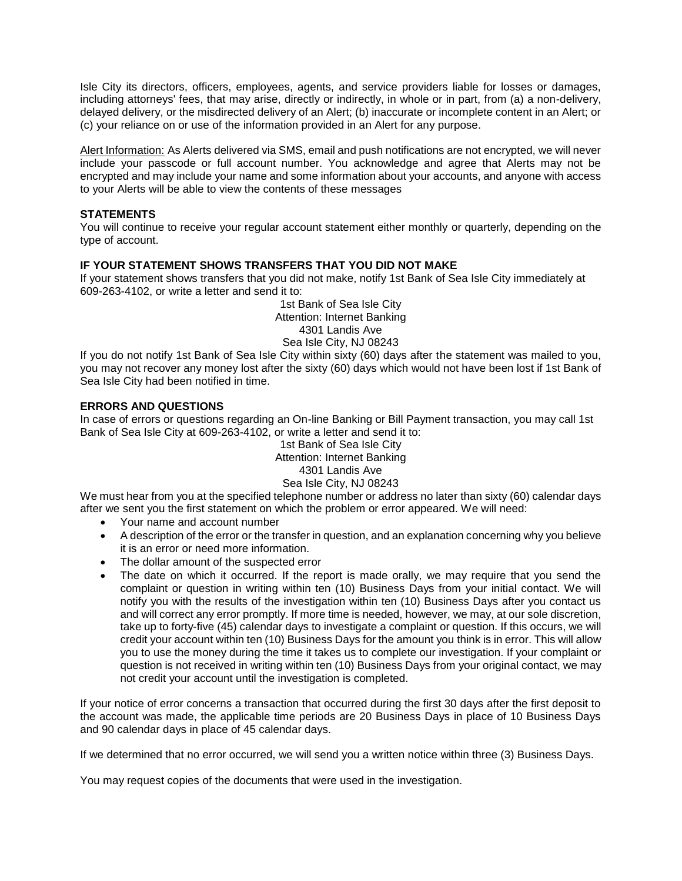Isle City its directors, officers, employees, agents, and service providers liable for losses or damages, including attorneys' fees, that may arise, directly or indirectly, in whole or in part, from (a) a non-delivery, delayed delivery, or the misdirected delivery of an Alert; (b) inaccurate or incomplete content in an Alert; or (c) your reliance on or use of the information provided in an Alert for any purpose.

Alert Information: As Alerts delivered via SMS, email and push notifications are not encrypted, we will never include your passcode or full account number. You acknowledge and agree that Alerts may not be encrypted and may include your name and some information about your accounts, and anyone with access to your Alerts will be able to view the contents of these messages

# **STATEMENTS**

You will continue to receive your regular account statement either monthly or quarterly, depending on the type of account.

#### **IF YOUR STATEMENT SHOWS TRANSFERS THAT YOU DID NOT MAKE**

If your statement shows transfers that you did not make, notify 1st Bank of Sea Isle City immediately at 609-263-4102, or write a letter and send it to:

> 1st Bank of Sea Isle City Attention: Internet Banking 4301 Landis Ave Sea Isle City, NJ 08243

If you do not notify 1st Bank of Sea Isle City within sixty (60) days after the statement was mailed to you, you may not recover any money lost after the sixty (60) days which would not have been lost if 1st Bank of Sea Isle City had been notified in time.

# **ERRORS AND QUESTIONS**

In case of errors or questions regarding an On-line Banking or Bill Payment transaction, you may call 1st Bank of Sea Isle City at 609-263-4102, or write a letter and send it to:

1st Bank of Sea Isle City Attention: Internet Banking 4301 Landis Ave Sea Isle City, NJ 08243

We must hear from you at the specified telephone number or address no later than sixty (60) calendar days after we sent you the first statement on which the problem or error appeared. We will need:

- Your name and account number
- A description of the error or the transfer in question, and an explanation concerning why you believe it is an error or need more information.
- The dollar amount of the suspected error
- The date on which it occurred. If the report is made orally, we may require that you send the complaint or question in writing within ten (10) Business Days from your initial contact. We will notify you with the results of the investigation within ten (10) Business Days after you contact us and will correct any error promptly. If more time is needed, however, we may, at our sole discretion, take up to forty-five (45) calendar days to investigate a complaint or question. If this occurs, we will credit your account within ten (10) Business Days for the amount you think is in error. This will allow you to use the money during the time it takes us to complete our investigation. If your complaint or question is not received in writing within ten (10) Business Days from your original contact, we may not credit your account until the investigation is completed.

If your notice of error concerns a transaction that occurred during the first 30 days after the first deposit to the account was made, the applicable time periods are 20 Business Days in place of 10 Business Days and 90 calendar days in place of 45 calendar days.

If we determined that no error occurred, we will send you a written notice within three (3) Business Days.

You may request copies of the documents that were used in the investigation.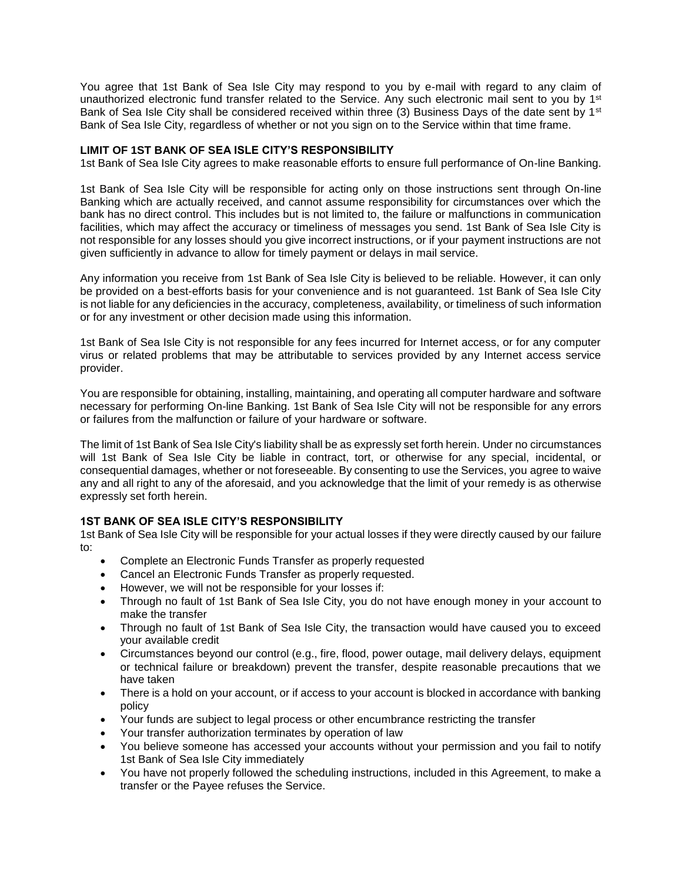You agree that 1st Bank of Sea Isle City may respond to you by e-mail with regard to any claim of unauthorized electronic fund transfer related to the Service. Any such electronic mail sent to you by  $1<sup>st</sup>$ Bank of Sea Isle City shall be considered received within three (3) Business Days of the date sent by  $1<sup>st</sup>$ Bank of Sea Isle City, regardless of whether or not you sign on to the Service within that time frame.

# **LIMIT OF 1ST BANK OF SEA ISLE CITY'S RESPONSIBILITY**

1st Bank of Sea Isle City agrees to make reasonable efforts to ensure full performance of On-line Banking.

1st Bank of Sea Isle City will be responsible for acting only on those instructions sent through On-line Banking which are actually received, and cannot assume responsibility for circumstances over which the bank has no direct control. This includes but is not limited to, the failure or malfunctions in communication facilities, which may affect the accuracy or timeliness of messages you send. 1st Bank of Sea Isle City is not responsible for any losses should you give incorrect instructions, or if your payment instructions are not given sufficiently in advance to allow for timely payment or delays in mail service.

Any information you receive from 1st Bank of Sea Isle City is believed to be reliable. However, it can only be provided on a best-efforts basis for your convenience and is not guaranteed. 1st Bank of Sea Isle City is not liable for any deficiencies in the accuracy, completeness, availability, or timeliness of such information or for any investment or other decision made using this information.

1st Bank of Sea Isle City is not responsible for any fees incurred for Internet access, or for any computer virus or related problems that may be attributable to services provided by any Internet access service provider.

You are responsible for obtaining, installing, maintaining, and operating all computer hardware and software necessary for performing On-line Banking. 1st Bank of Sea Isle City will not be responsible for any errors or failures from the malfunction or failure of your hardware or software.

The limit of 1st Bank of Sea Isle City's liability shall be as expressly set forth herein. Under no circumstances will 1st Bank of Sea Isle City be liable in contract, tort, or otherwise for any special, incidental, or consequential damages, whether or not foreseeable. By consenting to use the Services, you agree to waive any and all right to any of the aforesaid, and you acknowledge that the limit of your remedy is as otherwise expressly set forth herein.

# **1ST BANK OF SEA ISLE CITY'S RESPONSIBILITY**

1st Bank of Sea Isle City will be responsible for your actual losses if they were directly caused by our failure to:

- Complete an Electronic Funds Transfer as properly requested
- Cancel an Electronic Funds Transfer as properly requested.
- However, we will not be responsible for your losses if:
- Through no fault of 1st Bank of Sea Isle City, you do not have enough money in your account to make the transfer
- Through no fault of 1st Bank of Sea Isle City, the transaction would have caused you to exceed your available credit
- Circumstances beyond our control (e.g., fire, flood, power outage, mail delivery delays, equipment or technical failure or breakdown) prevent the transfer, despite reasonable precautions that we have taken
- There is a hold on your account, or if access to your account is blocked in accordance with banking policy
- Your funds are subject to legal process or other encumbrance restricting the transfer
- Your transfer authorization terminates by operation of law
- You believe someone has accessed your accounts without your permission and you fail to notify 1st Bank of Sea Isle City immediately
- You have not properly followed the scheduling instructions, included in this Agreement, to make a transfer or the Payee refuses the Service.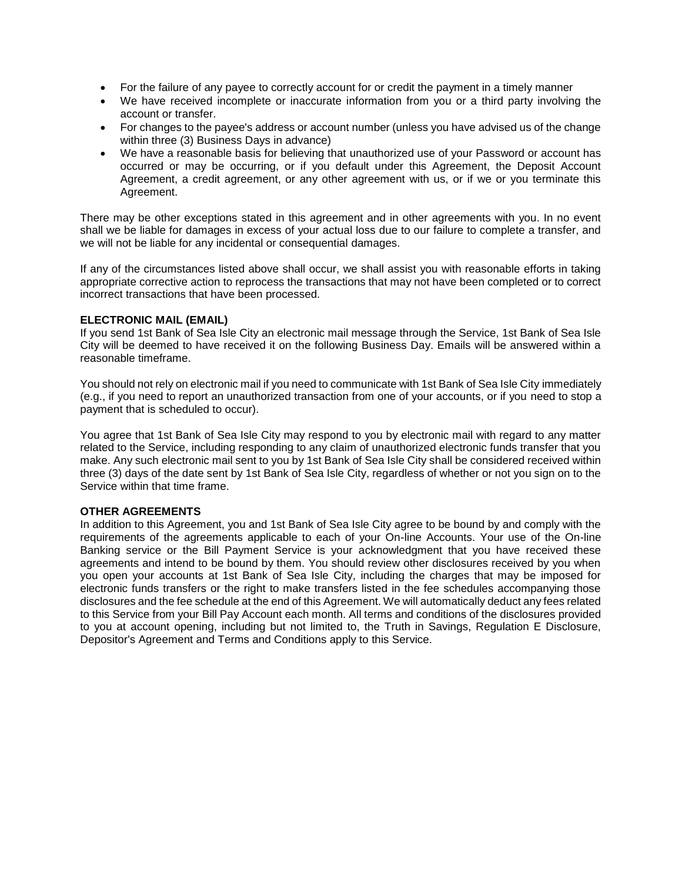- For the failure of any payee to correctly account for or credit the payment in a timely manner
- We have received incomplete or inaccurate information from you or a third party involving the account or transfer.
- For changes to the payee's address or account number (unless you have advised us of the change within three (3) Business Days in advance)
- We have a reasonable basis for believing that unauthorized use of your Password or account has occurred or may be occurring, or if you default under this Agreement, the Deposit Account Agreement, a credit agreement, or any other agreement with us, or if we or you terminate this Agreement.

There may be other exceptions stated in this agreement and in other agreements with you. In no event shall we be liable for damages in excess of your actual loss due to our failure to complete a transfer, and we will not be liable for any incidental or consequential damages.

If any of the circumstances listed above shall occur, we shall assist you with reasonable efforts in taking appropriate corrective action to reprocess the transactions that may not have been completed or to correct incorrect transactions that have been processed.

#### **ELECTRONIC MAIL (EMAIL)**

If you send 1st Bank of Sea Isle City an electronic mail message through the Service, 1st Bank of Sea Isle City will be deemed to have received it on the following Business Day. Emails will be answered within a reasonable timeframe.

You should not rely on electronic mail if you need to communicate with 1st Bank of Sea Isle City immediately (e.g., if you need to report an unauthorized transaction from one of your accounts, or if you need to stop a payment that is scheduled to occur).

You agree that 1st Bank of Sea Isle City may respond to you by electronic mail with regard to any matter related to the Service, including responding to any claim of unauthorized electronic funds transfer that you make. Any such electronic mail sent to you by 1st Bank of Sea Isle City shall be considered received within three (3) days of the date sent by 1st Bank of Sea Isle City, regardless of whether or not you sign on to the Service within that time frame.

## **OTHER AGREEMENTS**

In addition to this Agreement, you and 1st Bank of Sea Isle City agree to be bound by and comply with the requirements of the agreements applicable to each of your On-line Accounts. Your use of the On-line Banking service or the Bill Payment Service is your acknowledgment that you have received these agreements and intend to be bound by them. You should review other disclosures received by you when you open your accounts at 1st Bank of Sea Isle City, including the charges that may be imposed for electronic funds transfers or the right to make transfers listed in the fee schedules accompanying those disclosures and the fee schedule at the end of this Agreement. We will automatically deduct any fees related to this Service from your Bill Pay Account each month. All terms and conditions of the disclosures provided to you at account opening, including but not limited to, the Truth in Savings, Regulation E Disclosure, Depositor's Agreement and Terms and Conditions apply to this Service.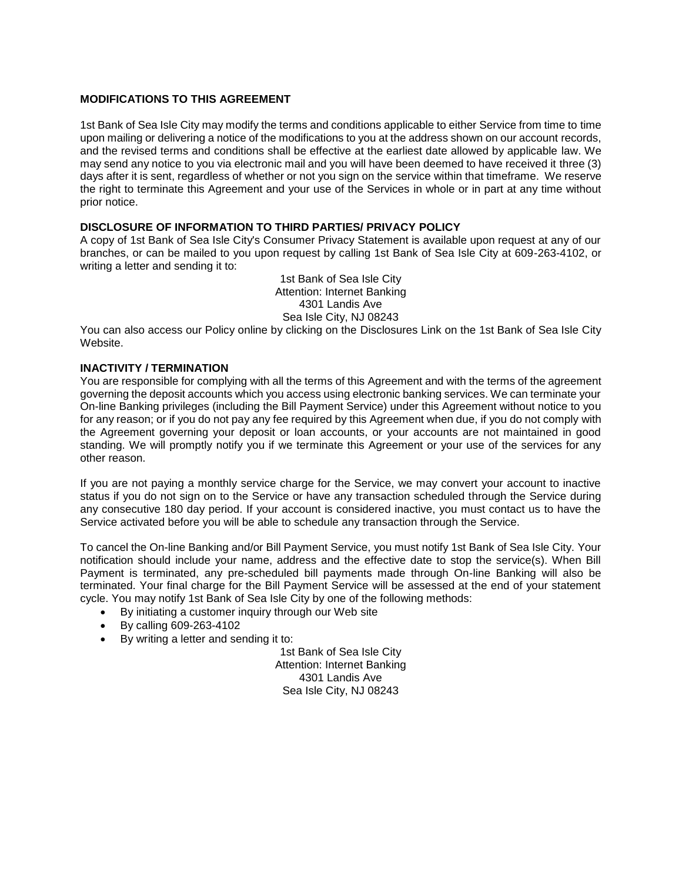#### **MODIFICATIONS TO THIS AGREEMENT**

1st Bank of Sea Isle City may modify the terms and conditions applicable to either Service from time to time upon mailing or delivering a notice of the modifications to you at the address shown on our account records, and the revised terms and conditions shall be effective at the earliest date allowed by applicable law. We may send any notice to you via electronic mail and you will have been deemed to have received it three (3) days after it is sent, regardless of whether or not you sign on the service within that timeframe. We reserve the right to terminate this Agreement and your use of the Services in whole or in part at any time without prior notice.

# **DISCLOSURE OF INFORMATION TO THIRD PARTIES/ PRIVACY POLICY**

A copy of 1st Bank of Sea Isle City's Consumer Privacy Statement is available upon request at any of our branches, or can be mailed to you upon request by calling 1st Bank of Sea Isle City at 609-263-4102, or writing a letter and sending it to:

> 1st Bank of Sea Isle City Attention: Internet Banking 4301 Landis Ave Sea Isle City, NJ 08243

You can also access our Policy online by clicking on the Disclosures Link on the 1st Bank of Sea Isle City Website.

# **INACTIVITY / TERMINATION**

You are responsible for complying with all the terms of this Agreement and with the terms of the agreement governing the deposit accounts which you access using electronic banking services. We can terminate your On-line Banking privileges (including the Bill Payment Service) under this Agreement without notice to you for any reason; or if you do not pay any fee required by this Agreement when due, if you do not comply with the Agreement governing your deposit or loan accounts, or your accounts are not maintained in good standing. We will promptly notify you if we terminate this Agreement or your use of the services for any other reason.

If you are not paying a monthly service charge for the Service, we may convert your account to inactive status if you do not sign on to the Service or have any transaction scheduled through the Service during any consecutive 180 day period. If your account is considered inactive, you must contact us to have the Service activated before you will be able to schedule any transaction through the Service.

To cancel the On-line Banking and/or Bill Payment Service, you must notify 1st Bank of Sea Isle City. Your notification should include your name, address and the effective date to stop the service(s). When Bill Payment is terminated, any pre-scheduled bill payments made through On-line Banking will also be terminated. Your final charge for the Bill Payment Service will be assessed at the end of your statement cycle. You may notify 1st Bank of Sea Isle City by one of the following methods:

- By initiating a customer inquiry through our Web site
- By calling 609-263-4102
- By writing a letter and sending it to:

1st Bank of Sea Isle City Attention: Internet Banking 4301 Landis Ave Sea Isle City, NJ 08243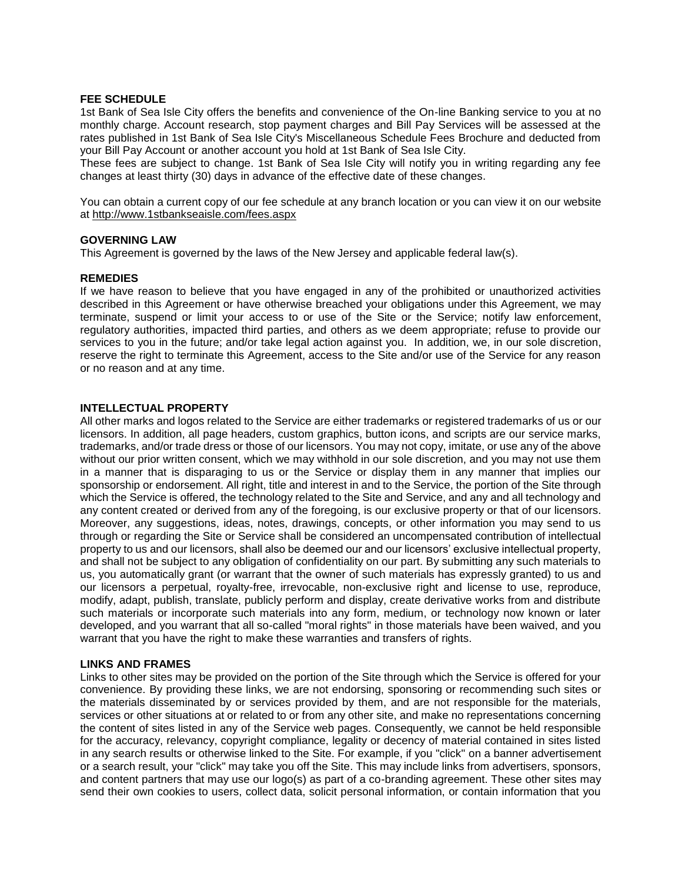#### **FEE SCHEDULE**

1st Bank of Sea Isle City offers the benefits and convenience of the On-line Banking service to you at no monthly charge. Account research, stop payment charges and Bill Pay Services will be assessed at the rates published in 1st Bank of Sea Isle City's Miscellaneous Schedule Fees Brochure and deducted from your Bill Pay Account or another account you hold at 1st Bank of Sea Isle City.

These fees are subject to change. 1st Bank of Sea Isle City will notify you in writing regarding any fee changes at least thirty (30) days in advance of the effective date of these changes.

You can obtain a current copy of our fee schedule at any branch location or you can view it on our website at<http://www.1stbankseaisle.com/fees.aspx>

#### **GOVERNING LAW**

This Agreement is governed by the laws of the New Jersey and applicable federal law(s).

#### **REMEDIES**

If we have reason to believe that you have engaged in any of the prohibited or unauthorized activities described in this Agreement or have otherwise breached your obligations under this Agreement, we may terminate, suspend or limit your access to or use of the Site or the Service; notify law enforcement, regulatory authorities, impacted third parties, and others as we deem appropriate; refuse to provide our services to you in the future; and/or take legal action against you. In addition, we, in our sole discretion, reserve the right to terminate this Agreement, access to the Site and/or use of the Service for any reason or no reason and at any time.

#### **INTELLECTUAL PROPERTY**

All other marks and logos related to the Service are either trademarks or registered trademarks of us or our licensors. In addition, all page headers, custom graphics, button icons, and scripts are our service marks, trademarks, and/or trade dress or those of our licensors. You may not copy, imitate, or use any of the above without our prior written consent, which we may withhold in our sole discretion, and you may not use them in a manner that is disparaging to us or the Service or display them in any manner that implies our sponsorship or endorsement. All right, title and interest in and to the Service, the portion of the Site through which the Service is offered, the technology related to the Site and Service, and any and all technology and any content created or derived from any of the foregoing, is our exclusive property or that of our licensors. Moreover, any suggestions, ideas, notes, drawings, concepts, or other information you may send to us through or regarding the Site or Service shall be considered an uncompensated contribution of intellectual property to us and our licensors, shall also be deemed our and our licensors' exclusive intellectual property, and shall not be subject to any obligation of confidentiality on our part. By submitting any such materials to us, you automatically grant (or warrant that the owner of such materials has expressly granted) to us and our licensors a perpetual, royalty-free, irrevocable, non-exclusive right and license to use, reproduce, modify, adapt, publish, translate, publicly perform and display, create derivative works from and distribute such materials or incorporate such materials into any form, medium, or technology now known or later developed, and you warrant that all so-called "moral rights" in those materials have been waived, and you warrant that you have the right to make these warranties and transfers of rights.

#### **LINKS AND FRAMES**

Links to other sites may be provided on the portion of the Site through which the Service is offered for your convenience. By providing these links, we are not endorsing, sponsoring or recommending such sites or the materials disseminated by or services provided by them, and are not responsible for the materials, services or other situations at or related to or from any other site, and make no representations concerning the content of sites listed in any of the Service web pages. Consequently, we cannot be held responsible for the accuracy, relevancy, copyright compliance, legality or decency of material contained in sites listed in any search results or otherwise linked to the Site. For example, if you "click" on a banner advertisement or a search result, your "click" may take you off the Site. This may include links from advertisers, sponsors, and content partners that may use our logo(s) as part of a co-branding agreement. These other sites may send their own cookies to users, collect data, solicit personal information, or contain information that you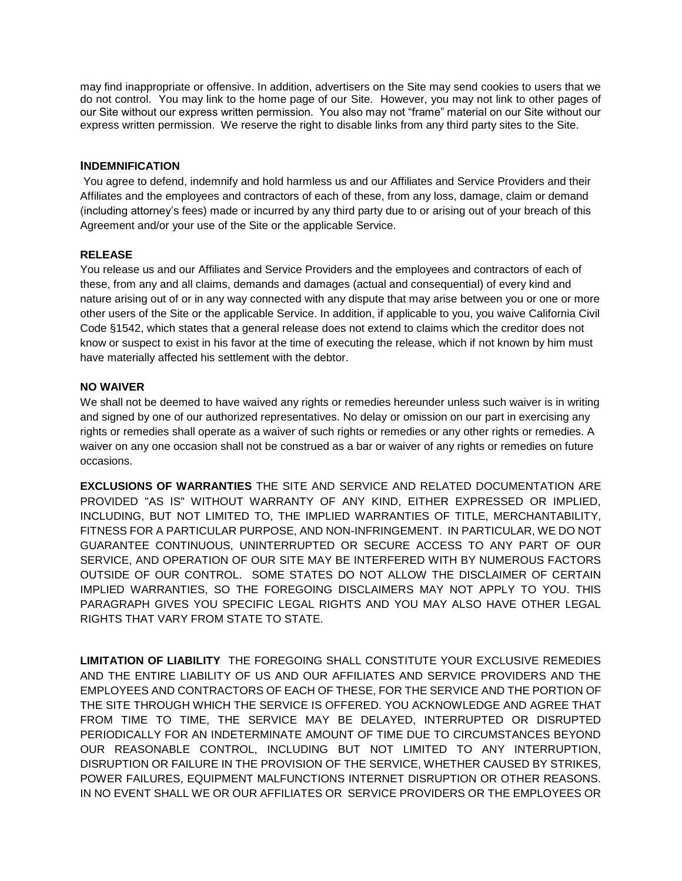may find inappropriate or offensive. In addition, advertisers on the Site may send cookies to users that we do not control. You may link to the home page of our Site. However, you may not link to other pages of our Site without our express written permission. You also may not "frame" material on our Site without our express written permission. We reserve the right to disable links from any third party sites to the Site.

# **INDEMNIFICATION**

You agree to defend, indemnify and hold harmless us and our Affiliates and Service Providers and their Affiliates and the employees and contractors of each of these, from any loss, damage, claim or demand (including attorney's fees) made or incurred by any third party due to or arising out of your breach of this Agreement and/or your use of the Site or the applicable Service.

# **RELEASE**

You release us and our Affiliates and Service Providers and the employees and contractors of each of these, from any and all claims, demands and damages (actual and consequential) of every kind and nature arising out of or in any way connected with any dispute that may arise between you or one or more other users of the Site or the applicable Service. In addition, if applicable to you, you waive California Civil Code §1542, which states that a general release does not extend to claims which the creditor does not know or suspect to exist in his favor at the time of executing the release, which if not known by him must have materially affected his settlement with the debtor.

# **NO WAIVER**

We shall not be deemed to have waived any rights or remedies hereunder unless such waiver is in writing and signed by one of our authorized representatives. No delay or omission on our part in exercising any rights or remedies shall operate as a waiver of such rights or remedies or any other rights or remedies. A waiver on any one occasion shall not be construed as a bar or waiver of any rights or remedies on future occasions.

**EXCLUSIONS OF WARRANTIES** THE SITE AND SERVICE AND RELATED DOCUMENTATION ARE PROVIDED "AS IS" WITHOUT WARRANTY OF ANY KIND, EITHER EXPRESSED OR IMPLIED, INCLUDING, BUT NOT LIMITED TO, THE IMPLIED WARRANTIES OF TITLE, MERCHANTABILITY, FITNESS FOR A PARTICULAR PURPOSE, AND NON-INFRINGEMENT. IN PARTICULAR, WE DO NOT GUARANTEE CONTINUOUS, UNINTERRUPTED OR SECURE ACCESS TO ANY PART OF OUR SERVICE, AND OPERATION OF OUR SITE MAY BE INTERFERED WITH BY NUMEROUS FACTORS OUTSIDE OF OUR CONTROL. SOME STATES DO NOT ALLOW THE DISCLAIMER OF CERTAIN IMPLIED WARRANTIES, SO THE FOREGOING DISCLAIMERS MAY NOT APPLY TO YOU. THIS PARAGRAPH GIVES YOU SPECIFIC LEGAL RIGHTS AND YOU MAY ALSO HAVE OTHER LEGAL RIGHTS THAT VARY FROM STATE TO STATE.

**LIMITATION OF LIABILITY** THE FOREGOING SHALL CONSTITUTE YOUR EXCLUSIVE REMEDIES AND THE ENTIRE LIABILITY OF US AND OUR AFFILIATES AND SERVICE PROVIDERS AND THE EMPLOYEES AND CONTRACTORS OF EACH OF THESE, FOR THE SERVICE AND THE PORTION OF THE SITE THROUGH WHICH THE SERVICE IS OFFERED. YOU ACKNOWLEDGE AND AGREE THAT FROM TIME TO TIME, THE SERVICE MAY BE DELAYED, INTERRUPTED OR DISRUPTED PERIODICALLY FOR AN INDETERMINATE AMOUNT OF TIME DUE TO CIRCUMSTANCES BEYOND OUR REASONABLE CONTROL, INCLUDING BUT NOT LIMITED TO ANY INTERRUPTION, DISRUPTION OR FAILURE IN THE PROVISION OF THE SERVICE, WHETHER CAUSED BY STRIKES, POWER FAILURES, EQUIPMENT MALFUNCTIONS INTERNET DISRUPTION OR OTHER REASONS. IN NO EVENT SHALL WE OR OUR AFFILIATES OR SERVICE PROVIDERS OR THE EMPLOYEES OR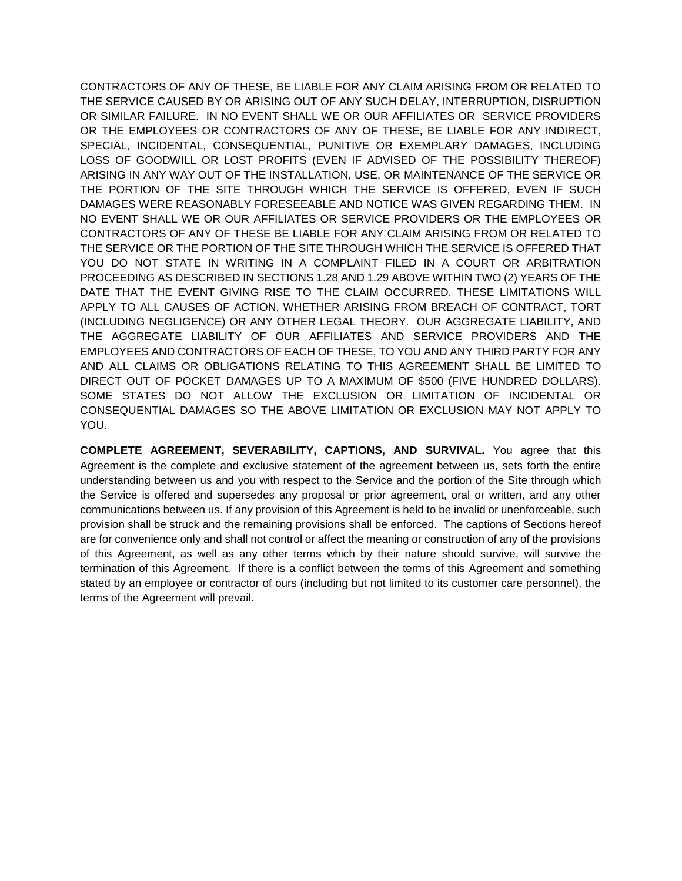CONTRACTORS OF ANY OF THESE, BE LIABLE FOR ANY CLAIM ARISING FROM OR RELATED TO THE SERVICE CAUSED BY OR ARISING OUT OF ANY SUCH DELAY, INTERRUPTION, DISRUPTION OR SIMILAR FAILURE. IN NO EVENT SHALL WE OR OUR AFFILIATES OR SERVICE PROVIDERS OR THE EMPLOYEES OR CONTRACTORS OF ANY OF THESE, BE LIABLE FOR ANY INDIRECT, SPECIAL, INCIDENTAL, CONSEQUENTIAL, PUNITIVE OR EXEMPLARY DAMAGES, INCLUDING LOSS OF GOODWILL OR LOST PROFITS (EVEN IF ADVISED OF THE POSSIBILITY THEREOF) ARISING IN ANY WAY OUT OF THE INSTALLATION, USE, OR MAINTENANCE OF THE SERVICE OR THE PORTION OF THE SITE THROUGH WHICH THE SERVICE IS OFFERED, EVEN IF SUCH DAMAGES WERE REASONABLY FORESEEABLE AND NOTICE WAS GIVEN REGARDING THEM. IN NO EVENT SHALL WE OR OUR AFFILIATES OR SERVICE PROVIDERS OR THE EMPLOYEES OR CONTRACTORS OF ANY OF THESE BE LIABLE FOR ANY CLAIM ARISING FROM OR RELATED TO THE SERVICE OR THE PORTION OF THE SITE THROUGH WHICH THE SERVICE IS OFFERED THAT YOU DO NOT STATE IN WRITING IN A COMPLAINT FILED IN A COURT OR ARBITRATION PROCEEDING AS DESCRIBED IN SECTIONS 1.28 AND 1.29 ABOVE WITHIN TWO (2) YEARS OF THE DATE THAT THE EVENT GIVING RISE TO THE CLAIM OCCURRED. THESE LIMITATIONS WILL APPLY TO ALL CAUSES OF ACTION, WHETHER ARISING FROM BREACH OF CONTRACT, TORT (INCLUDING NEGLIGENCE) OR ANY OTHER LEGAL THEORY. OUR AGGREGATE LIABILITY, AND THE AGGREGATE LIABILITY OF OUR AFFILIATES AND SERVICE PROVIDERS AND THE EMPLOYEES AND CONTRACTORS OF EACH OF THESE, TO YOU AND ANY THIRD PARTY FOR ANY AND ALL CLAIMS OR OBLIGATIONS RELATING TO THIS AGREEMENT SHALL BE LIMITED TO DIRECT OUT OF POCKET DAMAGES UP TO A MAXIMUM OF \$500 (FIVE HUNDRED DOLLARS). SOME STATES DO NOT ALLOW THE EXCLUSION OR LIMITATION OF INCIDENTAL OR CONSEQUENTIAL DAMAGES SO THE ABOVE LIMITATION OR EXCLUSION MAY NOT APPLY TO YOU.

**COMPLETE AGREEMENT, SEVERABILITY, CAPTIONS, AND SURVIVAL.** You agree that this Agreement is the complete and exclusive statement of the agreement between us, sets forth the entire understanding between us and you with respect to the Service and the portion of the Site through which the Service is offered and supersedes any proposal or prior agreement, oral or written, and any other communications between us. If any provision of this Agreement is held to be invalid or unenforceable, such provision shall be struck and the remaining provisions shall be enforced. The captions of Sections hereof are for convenience only and shall not control or affect the meaning or construction of any of the provisions of this Agreement, as well as any other terms which by their nature should survive, will survive the termination of this Agreement. If there is a conflict between the terms of this Agreement and something stated by an employee or contractor of ours (including but not limited to its customer care personnel), the terms of the Agreement will prevail.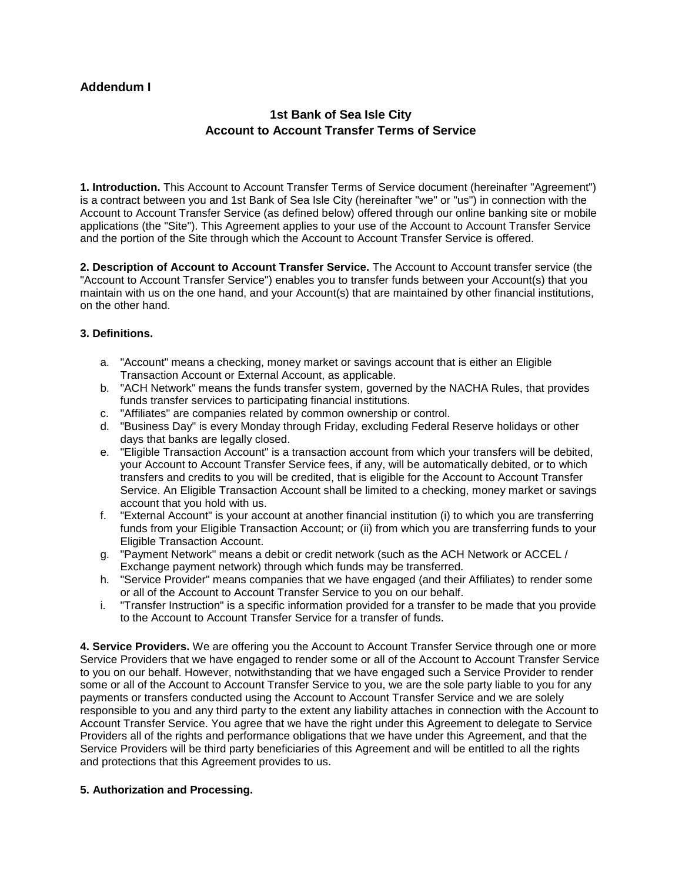# **Addendum I**

# **1st Bank of Sea Isle City Account to Account Transfer Terms of Service**

**1. Introduction.** This Account to Account Transfer Terms of Service document (hereinafter "Agreement") is a contract between you and 1st Bank of Sea Isle City (hereinafter "we" or "us") in connection with the Account to Account Transfer Service (as defined below) offered through our online banking site or mobile applications (the "Site"). This Agreement applies to your use of the Account to Account Transfer Service and the portion of the Site through which the Account to Account Transfer Service is offered.

**2. Description of Account to Account Transfer Service.** The Account to Account transfer service (the "Account to Account Transfer Service") enables you to transfer funds between your Account(s) that you maintain with us on the one hand, and your Account(s) that are maintained by other financial institutions, on the other hand.

# **3. Definitions.**

- a. "Account" means a checking, money market or savings account that is either an Eligible Transaction Account or External Account, as applicable.
- b. "ACH Network" means the funds transfer system, governed by the NACHA Rules, that provides funds transfer services to participating financial institutions.
- c. "Affiliates" are companies related by common ownership or control.
- d. "Business Day" is every Monday through Friday, excluding Federal Reserve holidays or other days that banks are legally closed.
- e. "Eligible Transaction Account" is a transaction account from which your transfers will be debited, your Account to Account Transfer Service fees, if any, will be automatically debited, or to which transfers and credits to you will be credited, that is eligible for the Account to Account Transfer Service. An Eligible Transaction Account shall be limited to a checking, money market or savings account that you hold with us.
- f. "External Account" is your account at another financial institution (i) to which you are transferring funds from your Eligible Transaction Account; or (ii) from which you are transferring funds to your Eligible Transaction Account.
- g. "Payment Network" means a debit or credit network (such as the ACH Network or ACCEL / Exchange payment network) through which funds may be transferred.
- h. "Service Provider" means companies that we have engaged (and their Affiliates) to render some or all of the Account to Account Transfer Service to you on our behalf.
- i. "Transfer Instruction" is a specific information provided for a transfer to be made that you provide to the Account to Account Transfer Service for a transfer of funds.

**4. Service Providers.** We are offering you the Account to Account Transfer Service through one or more Service Providers that we have engaged to render some or all of the Account to Account Transfer Service to you on our behalf. However, notwithstanding that we have engaged such a Service Provider to render some or all of the Account to Account Transfer Service to you, we are the sole party liable to you for any payments or transfers conducted using the Account to Account Transfer Service and we are solely responsible to you and any third party to the extent any liability attaches in connection with the Account to Account Transfer Service. You agree that we have the right under this Agreement to delegate to Service Providers all of the rights and performance obligations that we have under this Agreement, and that the Service Providers will be third party beneficiaries of this Agreement and will be entitled to all the rights and protections that this Agreement provides to us.

#### **5. Authorization and Processing.**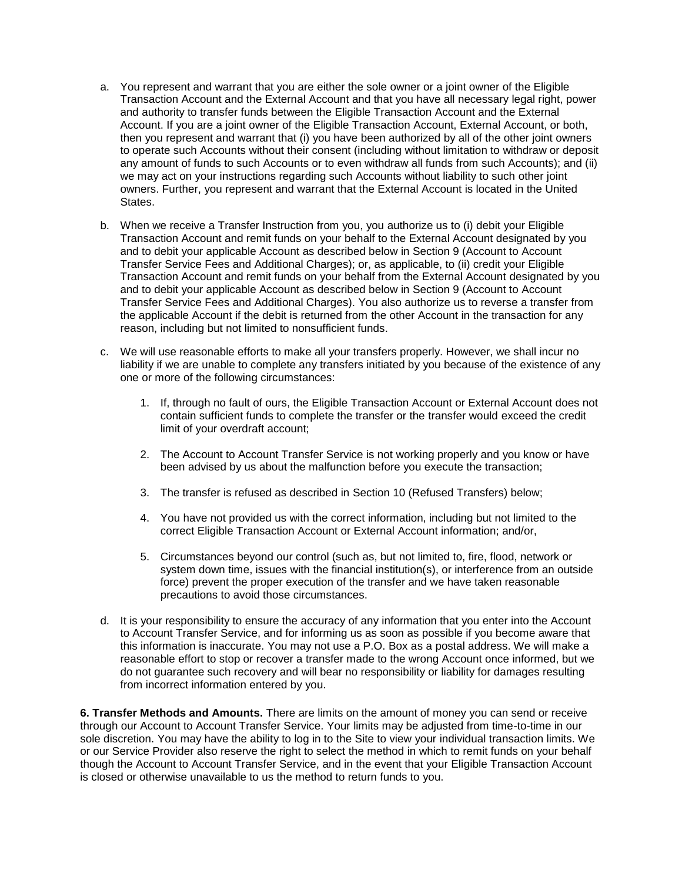- a. You represent and warrant that you are either the sole owner or a joint owner of the Eligible Transaction Account and the External Account and that you have all necessary legal right, power and authority to transfer funds between the Eligible Transaction Account and the External Account. If you are a joint owner of the Eligible Transaction Account, External Account, or both, then you represent and warrant that (i) you have been authorized by all of the other joint owners to operate such Accounts without their consent (including without limitation to withdraw or deposit any amount of funds to such Accounts or to even withdraw all funds from such Accounts); and (ii) we may act on your instructions regarding such Accounts without liability to such other joint owners. Further, you represent and warrant that the External Account is located in the United States.
- b. When we receive a Transfer Instruction from you, you authorize us to (i) debit your Eligible Transaction Account and remit funds on your behalf to the External Account designated by you and to debit your applicable Account as described below in Section 9 (Account to Account Transfer Service Fees and Additional Charges); or, as applicable, to (ii) credit your Eligible Transaction Account and remit funds on your behalf from the External Account designated by you and to debit your applicable Account as described below in Section 9 (Account to Account Transfer Service Fees and Additional Charges). You also authorize us to reverse a transfer from the applicable Account if the debit is returned from the other Account in the transaction for any reason, including but not limited to nonsufficient funds.
- c. We will use reasonable efforts to make all your transfers properly. However, we shall incur no liability if we are unable to complete any transfers initiated by you because of the existence of any one or more of the following circumstances:
	- 1. If, through no fault of ours, the Eligible Transaction Account or External Account does not contain sufficient funds to complete the transfer or the transfer would exceed the credit limit of your overdraft account;
	- 2. The Account to Account Transfer Service is not working properly and you know or have been advised by us about the malfunction before you execute the transaction;
	- 3. The transfer is refused as described in Section 10 (Refused Transfers) below;
	- 4. You have not provided us with the correct information, including but not limited to the correct Eligible Transaction Account or External Account information; and/or,
	- 5. Circumstances beyond our control (such as, but not limited to, fire, flood, network or system down time, issues with the financial institution(s), or interference from an outside force) prevent the proper execution of the transfer and we have taken reasonable precautions to avoid those circumstances.
- d. It is your responsibility to ensure the accuracy of any information that you enter into the Account to Account Transfer Service, and for informing us as soon as possible if you become aware that this information is inaccurate. You may not use a P.O. Box as a postal address. We will make a reasonable effort to stop or recover a transfer made to the wrong Account once informed, but we do not guarantee such recovery and will bear no responsibility or liability for damages resulting from incorrect information entered by you.

**6. Transfer Methods and Amounts.** There are limits on the amount of money you can send or receive through our Account to Account Transfer Service. Your limits may be adjusted from time-to-time in our sole discretion. You may have the ability to log in to the Site to view your individual transaction limits. We or our Service Provider also reserve the right to select the method in which to remit funds on your behalf though the Account to Account Transfer Service, and in the event that your Eligible Transaction Account is closed or otherwise unavailable to us the method to return funds to you.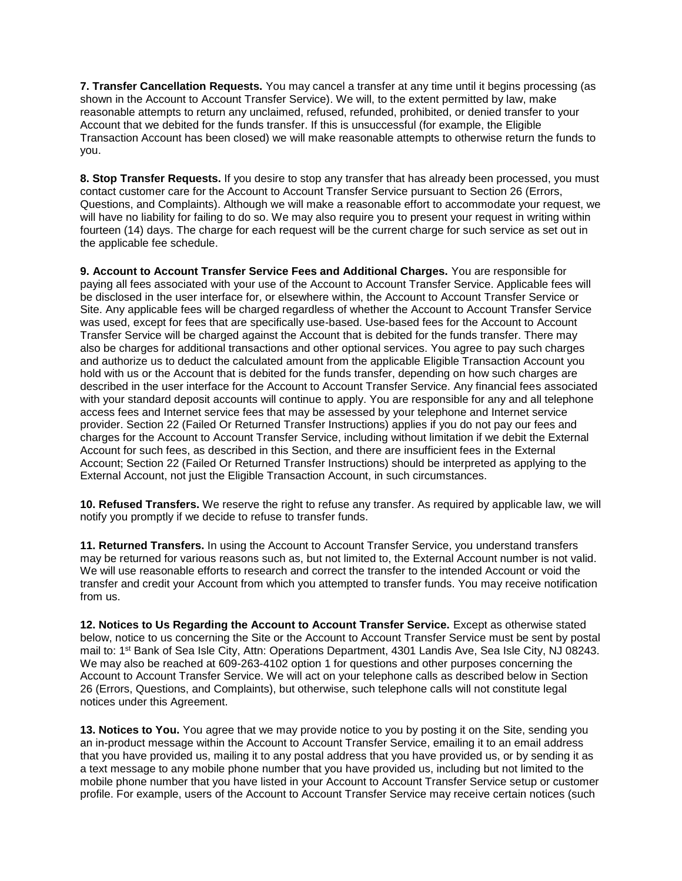**7. Transfer Cancellation Requests.** You may cancel a transfer at any time until it begins processing (as shown in the Account to Account Transfer Service). We will, to the extent permitted by law, make reasonable attempts to return any unclaimed, refused, refunded, prohibited, or denied transfer to your Account that we debited for the funds transfer. If this is unsuccessful (for example, the Eligible Transaction Account has been closed) we will make reasonable attempts to otherwise return the funds to you.

**8. Stop Transfer Requests.** If you desire to stop any transfer that has already been processed, you must contact customer care for the Account to Account Transfer Service pursuant to Section 26 (Errors, Questions, and Complaints). Although we will make a reasonable effort to accommodate your request, we will have no liability for failing to do so. We may also require you to present your request in writing within fourteen (14) days. The charge for each request will be the current charge for such service as set out in the applicable fee schedule.

**9. Account to Account Transfer Service Fees and Additional Charges.** You are responsible for paying all fees associated with your use of the Account to Account Transfer Service. Applicable fees will be disclosed in the user interface for, or elsewhere within, the Account to Account Transfer Service or Site. Any applicable fees will be charged regardless of whether the Account to Account Transfer Service was used, except for fees that are specifically use-based. Use-based fees for the Account to Account Transfer Service will be charged against the Account that is debited for the funds transfer. There may also be charges for additional transactions and other optional services. You agree to pay such charges and authorize us to deduct the calculated amount from the applicable Eligible Transaction Account you hold with us or the Account that is debited for the funds transfer, depending on how such charges are described in the user interface for the Account to Account Transfer Service. Any financial fees associated with your standard deposit accounts will continue to apply. You are responsible for any and all telephone access fees and Internet service fees that may be assessed by your telephone and Internet service provider. Section 22 (Failed Or Returned Transfer Instructions) applies if you do not pay our fees and charges for the Account to Account Transfer Service, including without limitation if we debit the External Account for such fees, as described in this Section, and there are insufficient fees in the External Account; Section 22 (Failed Or Returned Transfer Instructions) should be interpreted as applying to the External Account, not just the Eligible Transaction Account, in such circumstances.

**10. Refused Transfers.** We reserve the right to refuse any transfer. As required by applicable law, we will notify you promptly if we decide to refuse to transfer funds.

**11. Returned Transfers.** In using the Account to Account Transfer Service, you understand transfers may be returned for various reasons such as, but not limited to, the External Account number is not valid. We will use reasonable efforts to research and correct the transfer to the intended Account or void the transfer and credit your Account from which you attempted to transfer funds. You may receive notification from us.

**12. Notices to Us Regarding the Account to Account Transfer Service.** Except as otherwise stated below, notice to us concerning the Site or the Account to Account Transfer Service must be sent by postal mail to: 1<sup>st</sup> Bank of Sea Isle City, Attn: Operations Department, 4301 Landis Ave, Sea Isle City, NJ 08243. We may also be reached at 609-263-4102 option 1 for questions and other purposes concerning the Account to Account Transfer Service. We will act on your telephone calls as described below in Section 26 (Errors, Questions, and Complaints), but otherwise, such telephone calls will not constitute legal notices under this Agreement.

**13. Notices to You.** You agree that we may provide notice to you by posting it on the Site, sending you an in-product message within the Account to Account Transfer Service, emailing it to an email address that you have provided us, mailing it to any postal address that you have provided us, or by sending it as a text message to any mobile phone number that you have provided us, including but not limited to the mobile phone number that you have listed in your Account to Account Transfer Service setup or customer profile. For example, users of the Account to Account Transfer Service may receive certain notices (such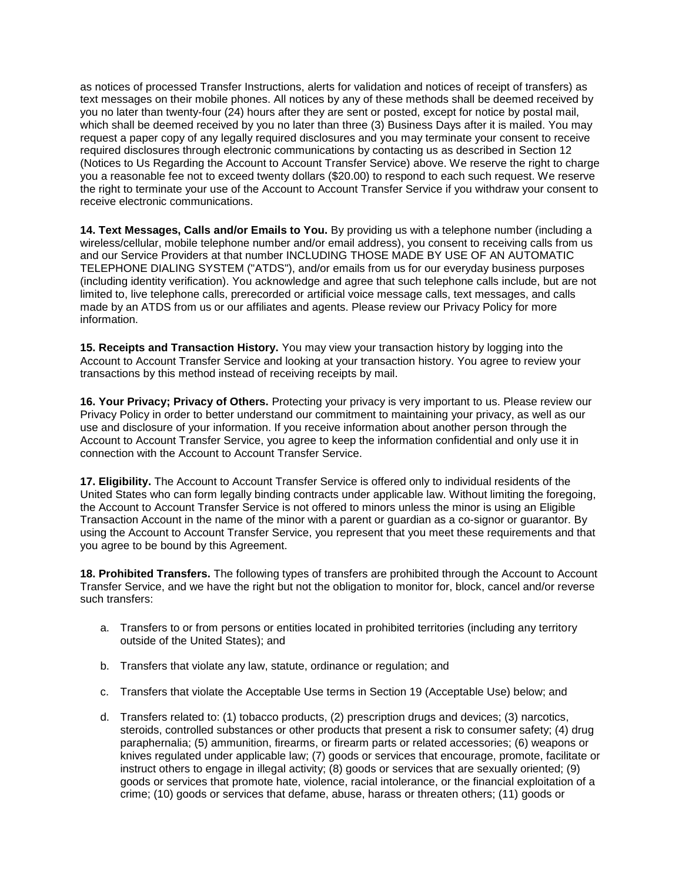as notices of processed Transfer Instructions, alerts for validation and notices of receipt of transfers) as text messages on their mobile phones. All notices by any of these methods shall be deemed received by you no later than twenty-four (24) hours after they are sent or posted, except for notice by postal mail, which shall be deemed received by you no later than three (3) Business Days after it is mailed. You may request a paper copy of any legally required disclosures and you may terminate your consent to receive required disclosures through electronic communications by contacting us as described in Section 12 (Notices to Us Regarding the Account to Account Transfer Service) above. We reserve the right to charge you a reasonable fee not to exceed twenty dollars (\$20.00) to respond to each such request. We reserve the right to terminate your use of the Account to Account Transfer Service if you withdraw your consent to receive electronic communications.

**14. Text Messages, Calls and/or Emails to You.** By providing us with a telephone number (including a wireless/cellular, mobile telephone number and/or email address), you consent to receiving calls from us and our Service Providers at that number INCLUDING THOSE MADE BY USE OF AN AUTOMATIC TELEPHONE DIALING SYSTEM ("ATDS"), and/or emails from us for our everyday business purposes (including identity verification). You acknowledge and agree that such telephone calls include, but are not limited to, live telephone calls, prerecorded or artificial voice message calls, text messages, and calls made by an ATDS from us or our affiliates and agents. Please review our Privacy Policy for more information.

**15. Receipts and Transaction History.** You may view your transaction history by logging into the Account to Account Transfer Service and looking at your transaction history. You agree to review your transactions by this method instead of receiving receipts by mail.

**16. Your Privacy; Privacy of Others.** Protecting your privacy is very important to us. Please review our Privacy Policy in order to better understand our commitment to maintaining your privacy, as well as our use and disclosure of your information. If you receive information about another person through the Account to Account Transfer Service, you agree to keep the information confidential and only use it in connection with the Account to Account Transfer Service.

**17. Eligibility.** The Account to Account Transfer Service is offered only to individual residents of the United States who can form legally binding contracts under applicable law. Without limiting the foregoing, the Account to Account Transfer Service is not offered to minors unless the minor is using an Eligible Transaction Account in the name of the minor with a parent or guardian as a co-signor or guarantor. By using the Account to Account Transfer Service, you represent that you meet these requirements and that you agree to be bound by this Agreement.

**18. Prohibited Transfers.** The following types of transfers are prohibited through the Account to Account Transfer Service, and we have the right but not the obligation to monitor for, block, cancel and/or reverse such transfers:

- a. Transfers to or from persons or entities located in prohibited territories (including any territory outside of the United States); and
- b. Transfers that violate any law, statute, ordinance or regulation; and
- c. Transfers that violate the Acceptable Use terms in Section 19 (Acceptable Use) below; and
- d. Transfers related to: (1) tobacco products, (2) prescription drugs and devices; (3) narcotics, steroids, controlled substances or other products that present a risk to consumer safety; (4) drug paraphernalia; (5) ammunition, firearms, or firearm parts or related accessories; (6) weapons or knives regulated under applicable law; (7) goods or services that encourage, promote, facilitate or instruct others to engage in illegal activity; (8) goods or services that are sexually oriented; (9) goods or services that promote hate, violence, racial intolerance, or the financial exploitation of a crime; (10) goods or services that defame, abuse, harass or threaten others; (11) goods or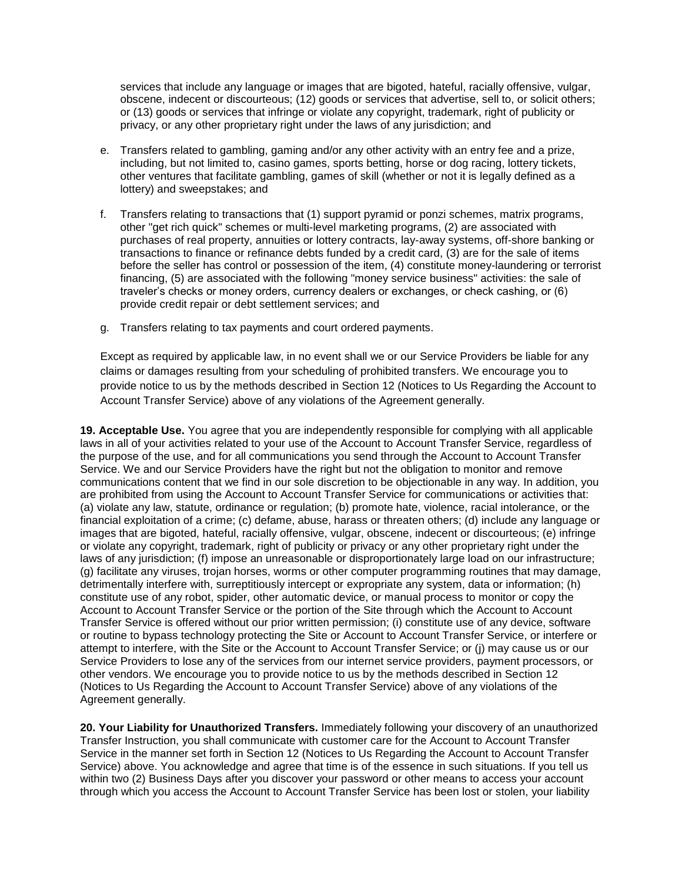services that include any language or images that are bigoted, hateful, racially offensive, vulgar, obscene, indecent or discourteous; (12) goods or services that advertise, sell to, or solicit others; or (13) goods or services that infringe or violate any copyright, trademark, right of publicity or privacy, or any other proprietary right under the laws of any jurisdiction; and

- e. Transfers related to gambling, gaming and/or any other activity with an entry fee and a prize, including, but not limited to, casino games, sports betting, horse or dog racing, lottery tickets, other ventures that facilitate gambling, games of skill (whether or not it is legally defined as a lottery) and sweepstakes; and
- f. Transfers relating to transactions that (1) support pyramid or ponzi schemes, matrix programs, other "get rich quick" schemes or multi-level marketing programs, (2) are associated with purchases of real property, annuities or lottery contracts, lay-away systems, off-shore banking or transactions to finance or refinance debts funded by a credit card, (3) are for the sale of items before the seller has control or possession of the item, (4) constitute money-laundering or terrorist financing, (5) are associated with the following "money service business" activities: the sale of traveler's checks or money orders, currency dealers or exchanges, or check cashing, or (6) provide credit repair or debt settlement services; and
- g. Transfers relating to tax payments and court ordered payments.

Except as required by applicable law, in no event shall we or our Service Providers be liable for any claims or damages resulting from your scheduling of prohibited transfers. We encourage you to provide notice to us by the methods described in Section 12 (Notices to Us Regarding the Account to Account Transfer Service) above of any violations of the Agreement generally.

**19. Acceptable Use.** You agree that you are independently responsible for complying with all applicable laws in all of your activities related to your use of the Account to Account Transfer Service, regardless of the purpose of the use, and for all communications you send through the Account to Account Transfer Service. We and our Service Providers have the right but not the obligation to monitor and remove communications content that we find in our sole discretion to be objectionable in any way. In addition, you are prohibited from using the Account to Account Transfer Service for communications or activities that: (a) violate any law, statute, ordinance or regulation; (b) promote hate, violence, racial intolerance, or the financial exploitation of a crime; (c) defame, abuse, harass or threaten others; (d) include any language or images that are bigoted, hateful, racially offensive, vulgar, obscene, indecent or discourteous; (e) infringe or violate any copyright, trademark, right of publicity or privacy or any other proprietary right under the laws of any jurisdiction; (f) impose an unreasonable or disproportionately large load on our infrastructure; (g) facilitate any viruses, trojan horses, worms or other computer programming routines that may damage, detrimentally interfere with, surreptitiously intercept or expropriate any system, data or information; (h) constitute use of any robot, spider, other automatic device, or manual process to monitor or copy the Account to Account Transfer Service or the portion of the Site through which the Account to Account Transfer Service is offered without our prior written permission; (i) constitute use of any device, software or routine to bypass technology protecting the Site or Account to Account Transfer Service, or interfere or attempt to interfere, with the Site or the Account to Account Transfer Service; or (j) may cause us or our Service Providers to lose any of the services from our internet service providers, payment processors, or other vendors. We encourage you to provide notice to us by the methods described in Section 12 (Notices to Us Regarding the Account to Account Transfer Service) above of any violations of the Agreement generally.

**20. Your Liability for Unauthorized Transfers.** Immediately following your discovery of an unauthorized Transfer Instruction, you shall communicate with customer care for the Account to Account Transfer Service in the manner set forth in Section 12 (Notices to Us Regarding the Account to Account Transfer Service) above. You acknowledge and agree that time is of the essence in such situations. If you tell us within two (2) Business Days after you discover your password or other means to access your account through which you access the Account to Account Transfer Service has been lost or stolen, your liability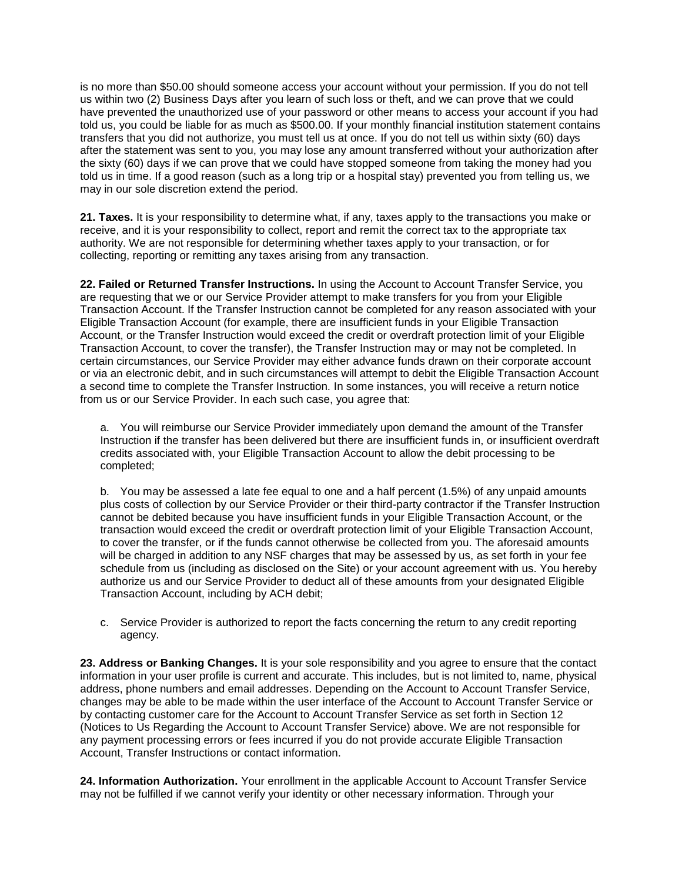is no more than \$50.00 should someone access your account without your permission. If you do not tell us within two (2) Business Days after you learn of such loss or theft, and we can prove that we could have prevented the unauthorized use of your password or other means to access your account if you had told us, you could be liable for as much as \$500.00. If your monthly financial institution statement contains transfers that you did not authorize, you must tell us at once. If you do not tell us within sixty (60) days after the statement was sent to you, you may lose any amount transferred without your authorization after the sixty (60) days if we can prove that we could have stopped someone from taking the money had you told us in time. If a good reason (such as a long trip or a hospital stay) prevented you from telling us, we may in our sole discretion extend the period.

**21. Taxes.** It is your responsibility to determine what, if any, taxes apply to the transactions you make or receive, and it is your responsibility to collect, report and remit the correct tax to the appropriate tax authority. We are not responsible for determining whether taxes apply to your transaction, or for collecting, reporting or remitting any taxes arising from any transaction.

**22. Failed or Returned Transfer Instructions.** In using the Account to Account Transfer Service, you are requesting that we or our Service Provider attempt to make transfers for you from your Eligible Transaction Account. If the Transfer Instruction cannot be completed for any reason associated with your Eligible Transaction Account (for example, there are insufficient funds in your Eligible Transaction Account, or the Transfer Instruction would exceed the credit or overdraft protection limit of your Eligible Transaction Account, to cover the transfer), the Transfer Instruction may or may not be completed. In certain circumstances, our Service Provider may either advance funds drawn on their corporate account or via an electronic debit, and in such circumstances will attempt to debit the Eligible Transaction Account a second time to complete the Transfer Instruction. In some instances, you will receive a return notice from us or our Service Provider. In each such case, you agree that:

a. You will reimburse our Service Provider immediately upon demand the amount of the Transfer Instruction if the transfer has been delivered but there are insufficient funds in, or insufficient overdraft credits associated with, your Eligible Transaction Account to allow the debit processing to be completed;

b. You may be assessed a late fee equal to one and a half percent (1.5%) of any unpaid amounts plus costs of collection by our Service Provider or their third-party contractor if the Transfer Instruction cannot be debited because you have insufficient funds in your Eligible Transaction Account, or the transaction would exceed the credit or overdraft protection limit of your Eligible Transaction Account, to cover the transfer, or if the funds cannot otherwise be collected from you. The aforesaid amounts will be charged in addition to any NSF charges that may be assessed by us, as set forth in your fee schedule from us (including as disclosed on the Site) or your account agreement with us. You hereby authorize us and our Service Provider to deduct all of these amounts from your designated Eligible Transaction Account, including by ACH debit;

c. Service Provider is authorized to report the facts concerning the return to any credit reporting agency.

**23. Address or Banking Changes.** It is your sole responsibility and you agree to ensure that the contact information in your user profile is current and accurate. This includes, but is not limited to, name, physical address, phone numbers and email addresses. Depending on the Account to Account Transfer Service, changes may be able to be made within the user interface of the Account to Account Transfer Service or by contacting customer care for the Account to Account Transfer Service as set forth in Section 12 (Notices to Us Regarding the Account to Account Transfer Service) above. We are not responsible for any payment processing errors or fees incurred if you do not provide accurate Eligible Transaction Account, Transfer Instructions or contact information.

**24. Information Authorization.** Your enrollment in the applicable Account to Account Transfer Service may not be fulfilled if we cannot verify your identity or other necessary information. Through your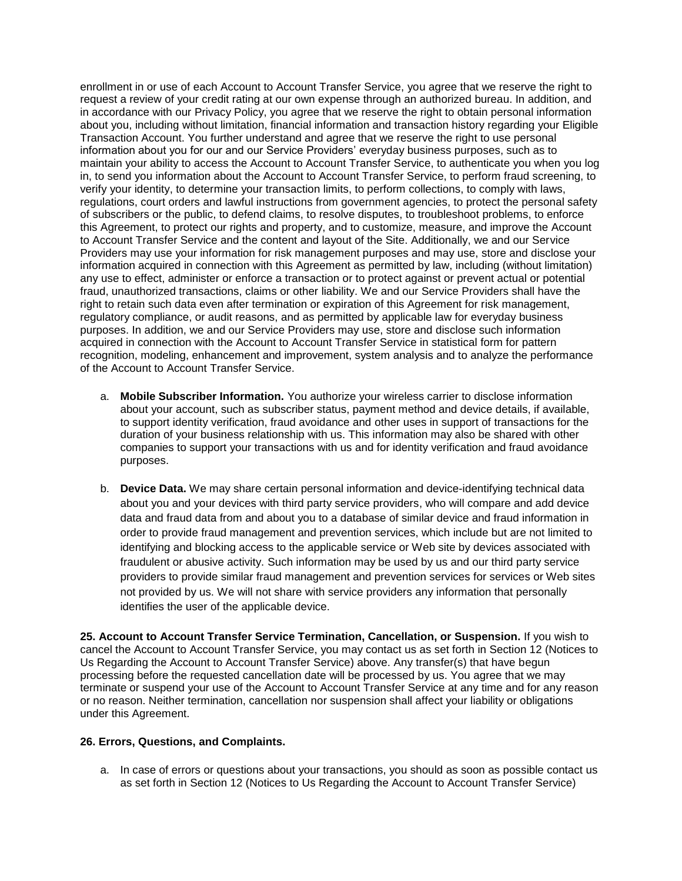enrollment in or use of each Account to Account Transfer Service, you agree that we reserve the right to request a review of your credit rating at our own expense through an authorized bureau. In addition, and in accordance with our Privacy Policy, you agree that we reserve the right to obtain personal information about you, including without limitation, financial information and transaction history regarding your Eligible Transaction Account. You further understand and agree that we reserve the right to use personal information about you for our and our Service Providers' everyday business purposes, such as to maintain your ability to access the Account to Account Transfer Service, to authenticate you when you log in, to send you information about the Account to Account Transfer Service, to perform fraud screening, to verify your identity, to determine your transaction limits, to perform collections, to comply with laws, regulations, court orders and lawful instructions from government agencies, to protect the personal safety of subscribers or the public, to defend claims, to resolve disputes, to troubleshoot problems, to enforce this Agreement, to protect our rights and property, and to customize, measure, and improve the Account to Account Transfer Service and the content and layout of the Site. Additionally, we and our Service Providers may use your information for risk management purposes and may use, store and disclose your information acquired in connection with this Agreement as permitted by law, including (without limitation) any use to effect, administer or enforce a transaction or to protect against or prevent actual or potential fraud, unauthorized transactions, claims or other liability. We and our Service Providers shall have the right to retain such data even after termination or expiration of this Agreement for risk management, regulatory compliance, or audit reasons, and as permitted by applicable law for everyday business purposes. In addition, we and our Service Providers may use, store and disclose such information acquired in connection with the Account to Account Transfer Service in statistical form for pattern recognition, modeling, enhancement and improvement, system analysis and to analyze the performance of the Account to Account Transfer Service.

- a. **Mobile Subscriber Information.** You authorize your wireless carrier to disclose information about your account, such as subscriber status, payment method and device details, if available, to support identity verification, fraud avoidance and other uses in support of transactions for the duration of your business relationship with us. This information may also be shared with other companies to support your transactions with us and for identity verification and fraud avoidance purposes.
- b. **Device Data.** We may share certain personal information and device-identifying technical data about you and your devices with third party service providers, who will compare and add device data and fraud data from and about you to a database of similar device and fraud information in order to provide fraud management and prevention services, which include but are not limited to identifying and blocking access to the applicable service or Web site by devices associated with fraudulent or abusive activity. Such information may be used by us and our third party service providers to provide similar fraud management and prevention services for services or Web sites not provided by us. We will not share with service providers any information that personally identifies the user of the applicable device.

**25. Account to Account Transfer Service Termination, Cancellation, or Suspension.** If you wish to cancel the Account to Account Transfer Service, you may contact us as set forth in Section 12 (Notices to Us Regarding the Account to Account Transfer Service) above. Any transfer(s) that have begun processing before the requested cancellation date will be processed by us. You agree that we may terminate or suspend your use of the Account to Account Transfer Service at any time and for any reason or no reason. Neither termination, cancellation nor suspension shall affect your liability or obligations under this Agreement.

#### **26. Errors, Questions, and Complaints.**

a. In case of errors or questions about your transactions, you should as soon as possible contact us as set forth in Section 12 (Notices to Us Regarding the Account to Account Transfer Service)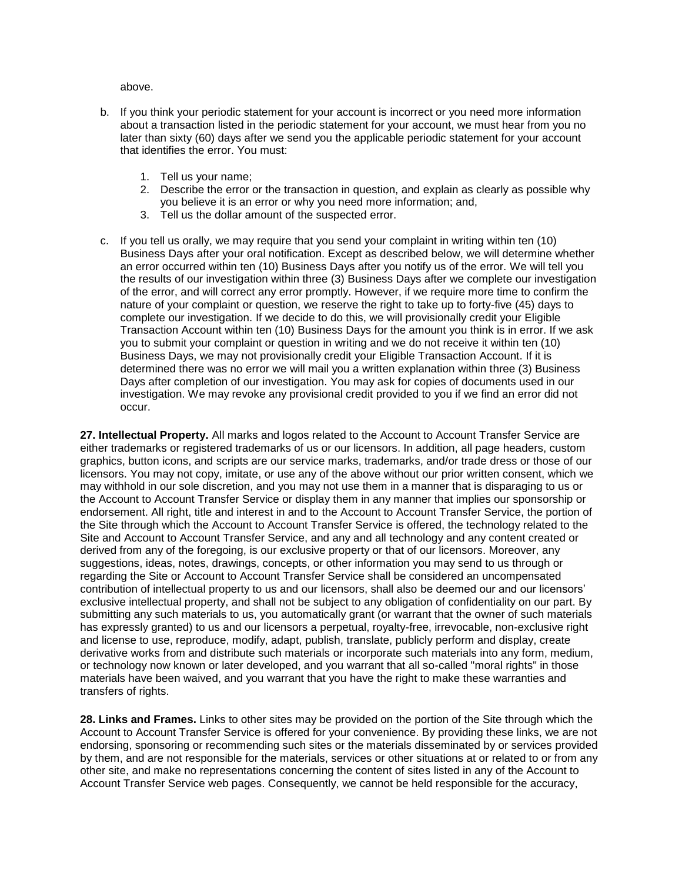above.

- b. If you think your periodic statement for your account is incorrect or you need more information about a transaction listed in the periodic statement for your account, we must hear from you no later than sixty (60) days after we send you the applicable periodic statement for your account that identifies the error. You must:
	- 1. Tell us your name;
	- 2. Describe the error or the transaction in question, and explain as clearly as possible why you believe it is an error or why you need more information; and,
	- 3. Tell us the dollar amount of the suspected error.
- c. If you tell us orally, we may require that you send your complaint in writing within ten (10) Business Days after your oral notification. Except as described below, we will determine whether an error occurred within ten (10) Business Days after you notify us of the error. We will tell you the results of our investigation within three (3) Business Days after we complete our investigation of the error, and will correct any error promptly. However, if we require more time to confirm the nature of your complaint or question, we reserve the right to take up to forty-five (45) days to complete our investigation. If we decide to do this, we will provisionally credit your Eligible Transaction Account within ten (10) Business Days for the amount you think is in error. If we ask you to submit your complaint or question in writing and we do not receive it within ten (10) Business Days, we may not provisionally credit your Eligible Transaction Account. If it is determined there was no error we will mail you a written explanation within three (3) Business Days after completion of our investigation. You may ask for copies of documents used in our investigation. We may revoke any provisional credit provided to you if we find an error did not occur.

**27. Intellectual Property.** All marks and logos related to the Account to Account Transfer Service are either trademarks or registered trademarks of us or our licensors. In addition, all page headers, custom graphics, button icons, and scripts are our service marks, trademarks, and/or trade dress or those of our licensors. You may not copy, imitate, or use any of the above without our prior written consent, which we may withhold in our sole discretion, and you may not use them in a manner that is disparaging to us or the Account to Account Transfer Service or display them in any manner that implies our sponsorship or endorsement. All right, title and interest in and to the Account to Account Transfer Service, the portion of the Site through which the Account to Account Transfer Service is offered, the technology related to the Site and Account to Account Transfer Service, and any and all technology and any content created or derived from any of the foregoing, is our exclusive property or that of our licensors. Moreover, any suggestions, ideas, notes, drawings, concepts, or other information you may send to us through or regarding the Site or Account to Account Transfer Service shall be considered an uncompensated contribution of intellectual property to us and our licensors, shall also be deemed our and our licensors' exclusive intellectual property, and shall not be subject to any obligation of confidentiality on our part. By submitting any such materials to us, you automatically grant (or warrant that the owner of such materials has expressly granted) to us and our licensors a perpetual, royalty-free, irrevocable, non-exclusive right and license to use, reproduce, modify, adapt, publish, translate, publicly perform and display, create derivative works from and distribute such materials or incorporate such materials into any form, medium, or technology now known or later developed, and you warrant that all so-called "moral rights" in those materials have been waived, and you warrant that you have the right to make these warranties and transfers of rights.

**28. Links and Frames.** Links to other sites may be provided on the portion of the Site through which the Account to Account Transfer Service is offered for your convenience. By providing these links, we are not endorsing, sponsoring or recommending such sites or the materials disseminated by or services provided by them, and are not responsible for the materials, services or other situations at or related to or from any other site, and make no representations concerning the content of sites listed in any of the Account to Account Transfer Service web pages. Consequently, we cannot be held responsible for the accuracy,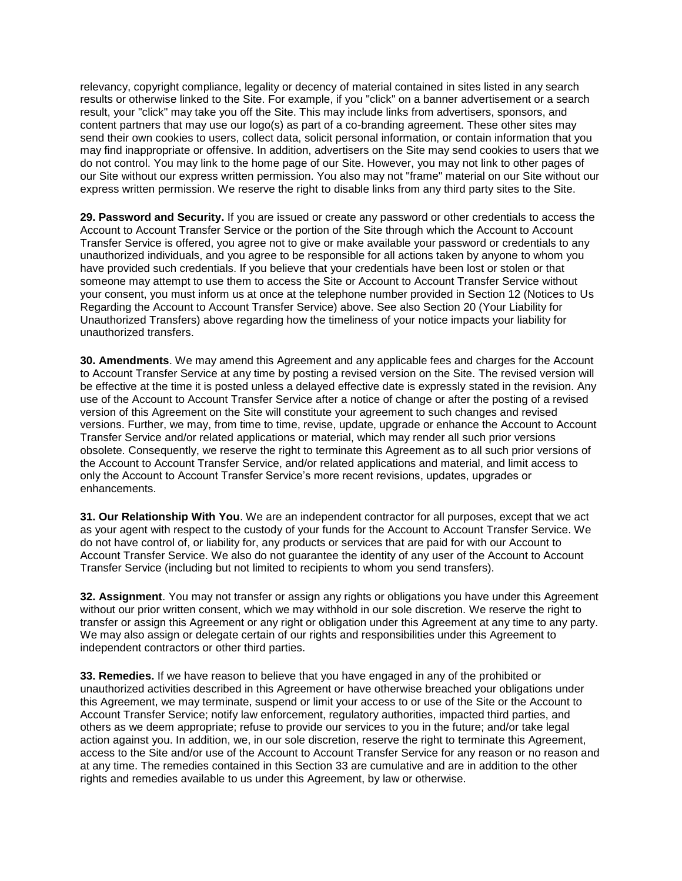relevancy, copyright compliance, legality or decency of material contained in sites listed in any search results or otherwise linked to the Site. For example, if you "click" on a banner advertisement or a search result, your "click" may take you off the Site. This may include links from advertisers, sponsors, and content partners that may use our logo(s) as part of a co-branding agreement. These other sites may send their own cookies to users, collect data, solicit personal information, or contain information that you may find inappropriate or offensive. In addition, advertisers on the Site may send cookies to users that we do not control. You may link to the home page of our Site. However, you may not link to other pages of our Site without our express written permission. You also may not "frame" material on our Site without our express written permission. We reserve the right to disable links from any third party sites to the Site.

**29. Password and Security.** If you are issued or create any password or other credentials to access the Account to Account Transfer Service or the portion of the Site through which the Account to Account Transfer Service is offered, you agree not to give or make available your password or credentials to any unauthorized individuals, and you agree to be responsible for all actions taken by anyone to whom you have provided such credentials. If you believe that your credentials have been lost or stolen or that someone may attempt to use them to access the Site or Account to Account Transfer Service without your consent, you must inform us at once at the telephone number provided in Section 12 (Notices to Us Regarding the Account to Account Transfer Service) above. See also Section 20 (Your Liability for Unauthorized Transfers) above regarding how the timeliness of your notice impacts your liability for unauthorized transfers.

**30. Amendments**. We may amend this Agreement and any applicable fees and charges for the Account to Account Transfer Service at any time by posting a revised version on the Site. The revised version will be effective at the time it is posted unless a delayed effective date is expressly stated in the revision. Any use of the Account to Account Transfer Service after a notice of change or after the posting of a revised version of this Agreement on the Site will constitute your agreement to such changes and revised versions. Further, we may, from time to time, revise, update, upgrade or enhance the Account to Account Transfer Service and/or related applications or material, which may render all such prior versions obsolete. Consequently, we reserve the right to terminate this Agreement as to all such prior versions of the Account to Account Transfer Service, and/or related applications and material, and limit access to only the Account to Account Transfer Service's more recent revisions, updates, upgrades or enhancements.

**31. Our Relationship With You**. We are an independent contractor for all purposes, except that we act as your agent with respect to the custody of your funds for the Account to Account Transfer Service. We do not have control of, or liability for, any products or services that are paid for with our Account to Account Transfer Service. We also do not guarantee the identity of any user of the Account to Account Transfer Service (including but not limited to recipients to whom you send transfers).

**32. Assignment**. You may not transfer or assign any rights or obligations you have under this Agreement without our prior written consent, which we may withhold in our sole discretion. We reserve the right to transfer or assign this Agreement or any right or obligation under this Agreement at any time to any party. We may also assign or delegate certain of our rights and responsibilities under this Agreement to independent contractors or other third parties.

**33. Remedies.** If we have reason to believe that you have engaged in any of the prohibited or unauthorized activities described in this Agreement or have otherwise breached your obligations under this Agreement, we may terminate, suspend or limit your access to or use of the Site or the Account to Account Transfer Service; notify law enforcement, regulatory authorities, impacted third parties, and others as we deem appropriate; refuse to provide our services to you in the future; and/or take legal action against you. In addition, we, in our sole discretion, reserve the right to terminate this Agreement, access to the Site and/or use of the Account to Account Transfer Service for any reason or no reason and at any time. The remedies contained in this Section 33 are cumulative and are in addition to the other rights and remedies available to us under this Agreement, by law or otherwise.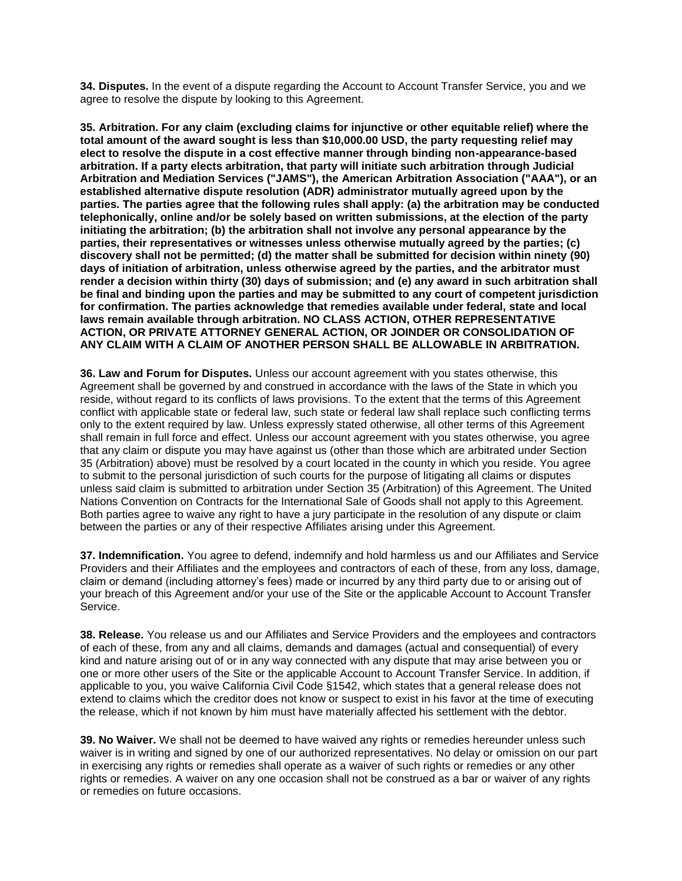**34. Disputes.** In the event of a dispute regarding the Account to Account Transfer Service, you and we agree to resolve the dispute by looking to this Agreement.

**35. Arbitration. For any claim (excluding claims for injunctive or other equitable relief) where the total amount of the award sought is less than \$10,000.00 USD, the party requesting relief may elect to resolve the dispute in a cost effective manner through binding non-appearance-based arbitration. If a party elects arbitration, that party will initiate such arbitration through Judicial Arbitration and Mediation Services ("JAMS"), the American Arbitration Association ("AAA"), or an established alternative dispute resolution (ADR) administrator mutually agreed upon by the parties. The parties agree that the following rules shall apply: (a) the arbitration may be conducted telephonically, online and/or be solely based on written submissions, at the election of the party initiating the arbitration; (b) the arbitration shall not involve any personal appearance by the parties, their representatives or witnesses unless otherwise mutually agreed by the parties; (c) discovery shall not be permitted; (d) the matter shall be submitted for decision within ninety (90) days of initiation of arbitration, unless otherwise agreed by the parties, and the arbitrator must render a decision within thirty (30) days of submission; and (e) any award in such arbitration shall be final and binding upon the parties and may be submitted to any court of competent jurisdiction for confirmation. The parties acknowledge that remedies available under federal, state and local laws remain available through arbitration. NO CLASS ACTION, OTHER REPRESENTATIVE ACTION, OR PRIVATE ATTORNEY GENERAL ACTION, OR JOINDER OR CONSOLIDATION OF ANY CLAIM WITH A CLAIM OF ANOTHER PERSON SHALL BE ALLOWABLE IN ARBITRATION.**

**36. Law and Forum for Disputes.** Unless our account agreement with you states otherwise, this Agreement shall be governed by and construed in accordance with the laws of the State in which you reside, without regard to its conflicts of laws provisions. To the extent that the terms of this Agreement conflict with applicable state or federal law, such state or federal law shall replace such conflicting terms only to the extent required by law. Unless expressly stated otherwise, all other terms of this Agreement shall remain in full force and effect. Unless our account agreement with you states otherwise, you agree that any claim or dispute you may have against us (other than those which are arbitrated under Section 35 (Arbitration) above) must be resolved by a court located in the county in which you reside. You agree to submit to the personal jurisdiction of such courts for the purpose of litigating all claims or disputes unless said claim is submitted to arbitration under Section 35 (Arbitration) of this Agreement. The United Nations Convention on Contracts for the International Sale of Goods shall not apply to this Agreement. Both parties agree to waive any right to have a jury participate in the resolution of any dispute or claim between the parties or any of their respective Affiliates arising under this Agreement.

**37. Indemnification.** You agree to defend, indemnify and hold harmless us and our Affiliates and Service Providers and their Affiliates and the employees and contractors of each of these, from any loss, damage, claim or demand (including attorney's fees) made or incurred by any third party due to or arising out of your breach of this Agreement and/or your use of the Site or the applicable Account to Account Transfer Service.

**38. Release.** You release us and our Affiliates and Service Providers and the employees and contractors of each of these, from any and all claims, demands and damages (actual and consequential) of every kind and nature arising out of or in any way connected with any dispute that may arise between you or one or more other users of the Site or the applicable Account to Account Transfer Service. In addition, if applicable to you, you waive California Civil Code §1542, which states that a general release does not extend to claims which the creditor does not know or suspect to exist in his favor at the time of executing the release, which if not known by him must have materially affected his settlement with the debtor.

**39. No Waiver.** We shall not be deemed to have waived any rights or remedies hereunder unless such waiver is in writing and signed by one of our authorized representatives. No delay or omission on our part in exercising any rights or remedies shall operate as a waiver of such rights or remedies or any other rights or remedies. A waiver on any one occasion shall not be construed as a bar or waiver of any rights or remedies on future occasions.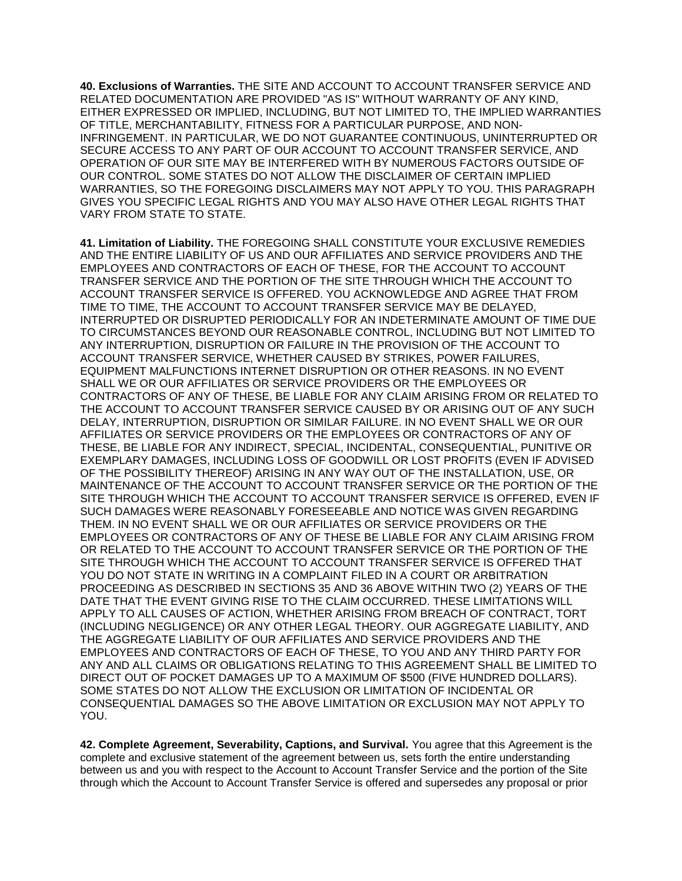**40. Exclusions of Warranties.** THE SITE AND ACCOUNT TO ACCOUNT TRANSFER SERVICE AND RELATED DOCUMENTATION ARE PROVIDED "AS IS" WITHOUT WARRANTY OF ANY KIND, EITHER EXPRESSED OR IMPLIED, INCLUDING, BUT NOT LIMITED TO, THE IMPLIED WARRANTIES OF TITLE, MERCHANTABILITY, FITNESS FOR A PARTICULAR PURPOSE, AND NON-INFRINGEMENT. IN PARTICULAR, WE DO NOT GUARANTEE CONTINUOUS, UNINTERRUPTED OR SECURE ACCESS TO ANY PART OF OUR ACCOUNT TO ACCOUNT TRANSFER SERVICE, AND OPERATION OF OUR SITE MAY BE INTERFERED WITH BY NUMEROUS FACTORS OUTSIDE OF OUR CONTROL. SOME STATES DO NOT ALLOW THE DISCLAIMER OF CERTAIN IMPLIED WARRANTIES, SO THE FOREGOING DISCLAIMERS MAY NOT APPLY TO YOU. THIS PARAGRAPH GIVES YOU SPECIFIC LEGAL RIGHTS AND YOU MAY ALSO HAVE OTHER LEGAL RIGHTS THAT VARY FROM STATE TO STATE.

**41. Limitation of Liability.** THE FOREGOING SHALL CONSTITUTE YOUR EXCLUSIVE REMEDIES AND THE ENTIRE LIABILITY OF US AND OUR AFFILIATES AND SERVICE PROVIDERS AND THE EMPLOYEES AND CONTRACTORS OF EACH OF THESE, FOR THE ACCOUNT TO ACCOUNT TRANSFER SERVICE AND THE PORTION OF THE SITE THROUGH WHICH THE ACCOUNT TO ACCOUNT TRANSFER SERVICE IS OFFERED. YOU ACKNOWLEDGE AND AGREE THAT FROM TIME TO TIME, THE ACCOUNT TO ACCOUNT TRANSFER SERVICE MAY BE DELAYED, INTERRUPTED OR DISRUPTED PERIODICALLY FOR AN INDETERMINATE AMOUNT OF TIME DUE TO CIRCUMSTANCES BEYOND OUR REASONABLE CONTROL, INCLUDING BUT NOT LIMITED TO ANY INTERRUPTION, DISRUPTION OR FAILURE IN THE PROVISION OF THE ACCOUNT TO ACCOUNT TRANSFER SERVICE, WHETHER CAUSED BY STRIKES, POWER FAILURES, EQUIPMENT MALFUNCTIONS INTERNET DISRUPTION OR OTHER REASONS. IN NO EVENT SHALL WE OR OUR AFFILIATES OR SERVICE PROVIDERS OR THE EMPLOYEES OR CONTRACTORS OF ANY OF THESE, BE LIABLE FOR ANY CLAIM ARISING FROM OR RELATED TO THE ACCOUNT TO ACCOUNT TRANSFER SERVICE CAUSED BY OR ARISING OUT OF ANY SUCH DELAY, INTERRUPTION, DISRUPTION OR SIMILAR FAILURE. IN NO EVENT SHALL WE OR OUR AFFILIATES OR SERVICE PROVIDERS OR THE EMPLOYEES OR CONTRACTORS OF ANY OF THESE, BE LIABLE FOR ANY INDIRECT, SPECIAL, INCIDENTAL, CONSEQUENTIAL, PUNITIVE OR EXEMPLARY DAMAGES, INCLUDING LOSS OF GOODWILL OR LOST PROFITS (EVEN IF ADVISED OF THE POSSIBILITY THEREOF) ARISING IN ANY WAY OUT OF THE INSTALLATION, USE, OR MAINTENANCE OF THE ACCOUNT TO ACCOUNT TRANSFER SERVICE OR THE PORTION OF THE SITE THROUGH WHICH THE ACCOUNT TO ACCOUNT TRANSFER SERVICE IS OFFERED, EVEN IF SUCH DAMAGES WERE REASONABLY FORESEEABLE AND NOTICE WAS GIVEN REGARDING THEM. IN NO EVENT SHALL WE OR OUR AFFILIATES OR SERVICE PROVIDERS OR THE EMPLOYEES OR CONTRACTORS OF ANY OF THESE BE LIABLE FOR ANY CLAIM ARISING FROM OR RELATED TO THE ACCOUNT TO ACCOUNT TRANSFER SERVICE OR THE PORTION OF THE SITE THROUGH WHICH THE ACCOUNT TO ACCOUNT TRANSFER SERVICE IS OFFERED THAT YOU DO NOT STATE IN WRITING IN A COMPLAINT FILED IN A COURT OR ARBITRATION PROCEEDING AS DESCRIBED IN SECTIONS 35 AND 36 ABOVE WITHIN TWO (2) YEARS OF THE DATE THAT THE EVENT GIVING RISE TO THE CLAIM OCCURRED. THESE LIMITATIONS WILL APPLY TO ALL CAUSES OF ACTION, WHETHER ARISING FROM BREACH OF CONTRACT, TORT (INCLUDING NEGLIGENCE) OR ANY OTHER LEGAL THEORY. OUR AGGREGATE LIABILITY, AND THE AGGREGATE LIABILITY OF OUR AFFILIATES AND SERVICE PROVIDERS AND THE EMPLOYEES AND CONTRACTORS OF EACH OF THESE, TO YOU AND ANY THIRD PARTY FOR ANY AND ALL CLAIMS OR OBLIGATIONS RELATING TO THIS AGREEMENT SHALL BE LIMITED TO DIRECT OUT OF POCKET DAMAGES UP TO A MAXIMUM OF \$500 (FIVE HUNDRED DOLLARS). SOME STATES DO NOT ALLOW THE EXCLUSION OR LIMITATION OF INCIDENTAL OR CONSEQUENTIAL DAMAGES SO THE ABOVE LIMITATION OR EXCLUSION MAY NOT APPLY TO YOU.

**42. Complete Agreement, Severability, Captions, and Survival.** You agree that this Agreement is the complete and exclusive statement of the agreement between us, sets forth the entire understanding between us and you with respect to the Account to Account Transfer Service and the portion of the Site through which the Account to Account Transfer Service is offered and supersedes any proposal or prior